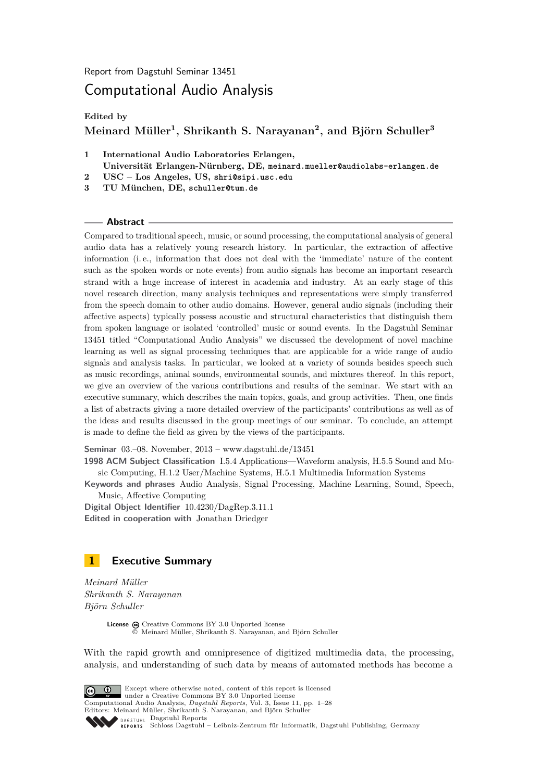Report from Dagstuhl Seminar 13451

# Computational Audio Analysis

**Edited by**

# **Meinard Müller<sup>1</sup> , Shrikanth S. Narayanan<sup>2</sup> , and Björn Schuller<sup>3</sup>**

- **1 International Audio Laboratories Erlangen, Universität Erlangen-Nürnberg, DE, meinard.mueller@audiolabs-erlangen.de 2 USC – Los Angeles, US, shri@sipi.usc.edu**
- **3 TU München, DE, schuller@tum.de**

#### **Abstract**

Compared to traditional speech, music, or sound processing, the computational analysis of general audio data has a relatively young research history. In particular, the extraction of affective information (i. e., information that does not deal with the 'immediate' nature of the content such as the spoken words or note events) from audio signals has become an important research strand with a huge increase of interest in academia and industry. At an early stage of this novel research direction, many analysis techniques and representations were simply transferred from the speech domain to other audio domains. However, general audio signals (including their affective aspects) typically possess acoustic and structural characteristics that distinguish them from spoken language or isolated 'controlled' music or sound events. In the Dagstuhl Seminar 13451 titled "Computational Audio Analysis" we discussed the development of novel machine learning as well as signal processing techniques that are applicable for a wide range of audio signals and analysis tasks. In particular, we looked at a variety of sounds besides speech such as music recordings, animal sounds, environmental sounds, and mixtures thereof. In this report, we give an overview of the various contributions and results of the seminar. We start with an executive summary, which describes the main topics, goals, and group activities. Then, one finds a list of abstracts giving a more detailed overview of the participants' contributions as well as of the ideas and results discussed in the group meetings of our seminar. To conclude, an attempt is made to define the field as given by the views of the participants.

**Seminar** 03.–08. November, 2013 – [www.dagstuhl.de/13451](http://www.dagstuhl.de/13451)

**1998 ACM Subject Classification** I.5.4 Applications—Waveform analysis, H.5.5 Sound and Music Computing, H.1.2 User/Machine Systems, H.5.1 Multimedia Information Systems

**Keywords and phrases** Audio Analysis, Signal Processing, Machine Learning, Sound, Speech, Music, Affective Computing

**Digital Object Identifier** [10.4230/DagRep.3.11.1](http://dx.doi.org/10.4230/DagRep.3.11.1) **Edited in cooperation with** Jonathan Driedger

<span id="page-0-0"></span>

*Meinard Müller Shrikanth S. Narayanan Björn Schuller*

> License  $\bigcirc$  [Creative Commons BY 3.0 Unported](http://creativecommons.org/licenses/by/3.0/) license © [Meinard Müller, Shrikanth S. Narayanan, and Björn Schuller](#page-0-0)

With the rapid growth and omnipresence of digitized multimedia data, the processing, analysis, and understanding of such data by means of automated methods has become a



Except where otherwise noted, content of this report is licensed under a [Creative Commons BY 3.0 Unported](http://creativecommons.org/licenses/by/3.0/) license Computational Audio Analysis, *Dagstuhl Reports*, Vol. 3, Issue 11, pp. 1[–28](#page-27-0)

Editors: Meinard Müller, Shrikanth S. Narayanan, and Björn Schuller DAGSTUHL [Dagstuhl Reports](http://www.dagstuhl.de/dagstuhl-reports/)

[Schloss Dagstuhl – Leibniz-Zentrum für Informatik, Dagstuhl Publishing, Germany](http://www.dagstuhl.de)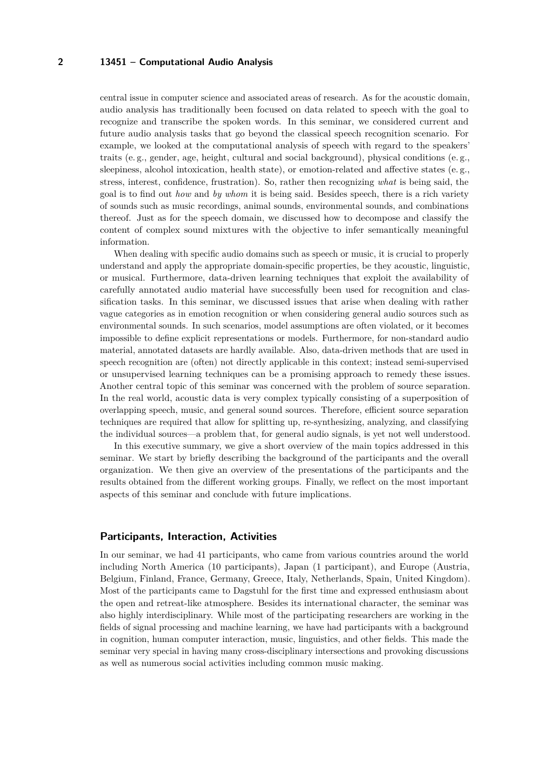central issue in computer science and associated areas of research. As for the acoustic domain, audio analysis has traditionally been focused on data related to speech with the goal to recognize and transcribe the spoken words. In this seminar, we considered current and future audio analysis tasks that go beyond the classical speech recognition scenario. For example, we looked at the computational analysis of speech with regard to the speakers' traits (e. g., gender, age, height, cultural and social background), physical conditions (e. g., sleepiness, alcohol intoxication, health state), or emotion-related and affective states (e. g., stress, interest, confidence, frustration). So, rather then recognizing *what* is being said, the goal is to find out *how* and *by whom* it is being said. Besides speech, there is a rich variety of sounds such as music recordings, animal sounds, environmental sounds, and combinations thereof. Just as for the speech domain, we discussed how to decompose and classify the content of complex sound mixtures with the objective to infer semantically meaningful information.

When dealing with specific audio domains such as speech or music, it is crucial to properly understand and apply the appropriate domain-specific properties, be they acoustic, linguistic, or musical. Furthermore, data-driven learning techniques that exploit the availability of carefully annotated audio material have successfully been used for recognition and classification tasks. In this seminar, we discussed issues that arise when dealing with rather vague categories as in emotion recognition or when considering general audio sources such as environmental sounds. In such scenarios, model assumptions are often violated, or it becomes impossible to define explicit representations or models. Furthermore, for non-standard audio material, annotated datasets are hardly available. Also, data-driven methods that are used in speech recognition are (often) not directly applicable in this context; instead semi-supervised or unsupervised learning techniques can be a promising approach to remedy these issues. Another central topic of this seminar was concerned with the problem of source separation. In the real world, acoustic data is very complex typically consisting of a superposition of overlapping speech, music, and general sound sources. Therefore, efficient source separation techniques are required that allow for splitting up, re-synthesizing, analyzing, and classifying the individual sources—a problem that, for general audio signals, is yet not well understood.

In this executive summary, we give a short overview of the main topics addressed in this seminar. We start by briefly describing the background of the participants and the overall organization. We then give an overview of the presentations of the participants and the results obtained from the different working groups. Finally, we reflect on the most important aspects of this seminar and conclude with future implications.

#### **Participants, Interaction, Activities**

In our seminar, we had 41 participants, who came from various countries around the world including North America (10 participants), Japan (1 participant), and Europe (Austria, Belgium, Finland, France, Germany, Greece, Italy, Netherlands, Spain, United Kingdom). Most of the participants came to Dagstuhl for the first time and expressed enthusiasm about the open and retreat-like atmosphere. Besides its international character, the seminar was also highly interdisciplinary. While most of the participating researchers are working in the fields of signal processing and machine learning, we have had participants with a background in cognition, human computer interaction, music, linguistics, and other fields. This made the seminar very special in having many cross-disciplinary intersections and provoking discussions as well as numerous social activities including common music making.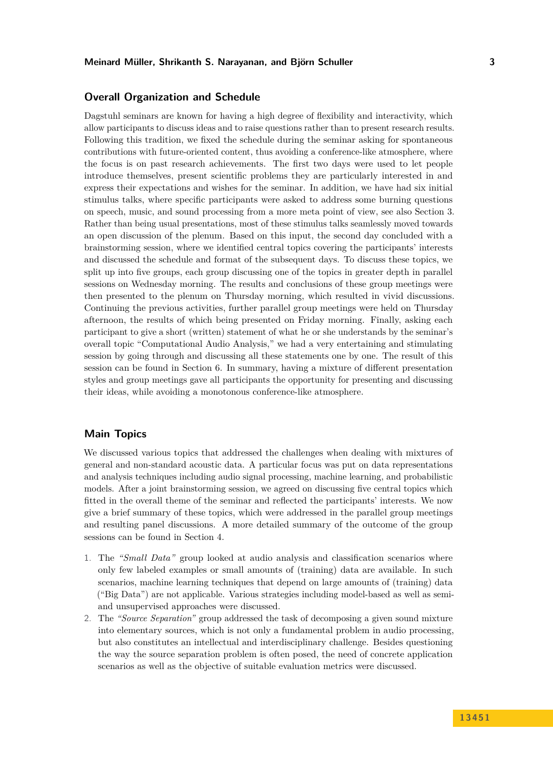### **Overall Organization and Schedule**

Dagstuhl seminars are known for having a high degree of flexibility and interactivity, which allow participants to discuss ideas and to raise questions rather than to present research results. Following this tradition, we fixed the schedule during the seminar asking for spontaneous contributions with future-oriented content, thus avoiding a conference-like atmosphere, where the focus is on past research achievements. The first two days were used to let people introduce themselves, present scientific problems they are particularly interested in and express their expectations and wishes for the seminar. In addition, we have had six initial stimulus talks, where specific participants were asked to address some burning questions on speech, music, and sound processing from a more meta point of view, see also Section [3.](#page-7-0) Rather than being usual presentations, most of these stimulus talks seamlessly moved towards an open discussion of the plenum. Based on this input, the second day concluded with a brainstorming session, where we identified central topics covering the participants' interests and discussed the schedule and format of the subsequent days. To discuss these topics, we split up into five groups, each group discussing one of the topics in greater depth in parallel sessions on Wednesday morning. The results and conclusions of these group meetings were then presented to the plenum on Thursday morning, which resulted in vivid discussions. Continuing the previous activities, further parallel group meetings were held on Thursday afternoon, the results of which being presented on Friday morning. Finally, asking each participant to give a short (written) statement of what he or she understands by the seminar's overall topic "Computational Audio Analysis," we had a very entertaining and stimulating session by going through and discussing all these statements one by one. The result of this session can be found in Section [6.](#page-23-0) In summary, having a mixture of different presentation styles and group meetings gave all participants the opportunity for presenting and discussing their ideas, while avoiding a monotonous conference-like atmosphere.

### **Main Topics**

We discussed various topics that addressed the challenges when dealing with mixtures of general and non-standard acoustic data. A particular focus was put on data representations and analysis techniques including audio signal processing, machine learning, and probabilistic models. After a joint brainstorming session, we agreed on discussing five central topics which fitted in the overall theme of the seminar and reflected the participants' interests. We now give a brief summary of these topics, which were addressed in the parallel group meetings and resulting panel discussions. A more detailed summary of the outcome of the group sessions can be found in Section [4.](#page-10-0)

- 1. The *"Small Data"* group looked at audio analysis and classification scenarios where only few labeled examples or small amounts of (training) data are available. In such scenarios, machine learning techniques that depend on large amounts of (training) data ("Big Data") are not applicable. Various strategies including model-based as well as semiand unsupervised approaches were discussed.
- 2. The *"Source Separation"* group addressed the task of decomposing a given sound mixture into elementary sources, which is not only a fundamental problem in audio processing, but also constitutes an intellectual and interdisciplinary challenge. Besides questioning the way the source separation problem is often posed, the need of concrete application scenarios as well as the objective of suitable evaluation metrics were discussed.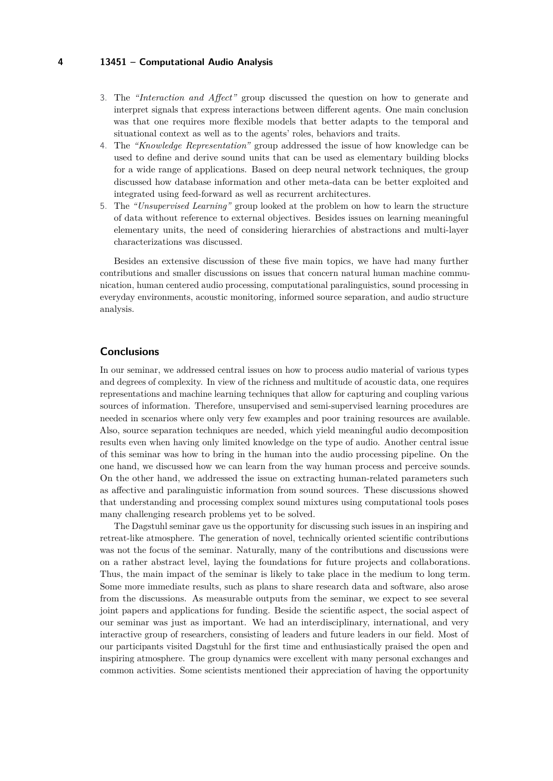- 3. The *"Interaction and Affect"* group discussed the question on how to generate and interpret signals that express interactions between different agents. One main conclusion was that one requires more flexible models that better adapts to the temporal and situational context as well as to the agents' roles, behaviors and traits.
- 4. The *"Knowledge Representation"* group addressed the issue of how knowledge can be used to define and derive sound units that can be used as elementary building blocks for a wide range of applications. Based on deep neural network techniques, the group discussed how database information and other meta-data can be better exploited and integrated using feed-forward as well as recurrent architectures.
- 5. The *"Unsupervised Learning"* group looked at the problem on how to learn the structure of data without reference to external objectives. Besides issues on learning meaningful elementary units, the need of considering hierarchies of abstractions and multi-layer characterizations was discussed.

Besides an extensive discussion of these five main topics, we have had many further contributions and smaller discussions on issues that concern natural human machine communication, human centered audio processing, computational paralinguistics, sound processing in everyday environments, acoustic monitoring, informed source separation, and audio structure analysis.

#### **Conclusions**

In our seminar, we addressed central issues on how to process audio material of various types and degrees of complexity. In view of the richness and multitude of acoustic data, one requires representations and machine learning techniques that allow for capturing and coupling various sources of information. Therefore, unsupervised and semi-supervised learning procedures are needed in scenarios where only very few examples and poor training resources are available. Also, source separation techniques are needed, which yield meaningful audio decomposition results even when having only limited knowledge on the type of audio. Another central issue of this seminar was how to bring in the human into the audio processing pipeline. On the one hand, we discussed how we can learn from the way human process and perceive sounds. On the other hand, we addressed the issue on extracting human-related parameters such as affective and paralinguistic information from sound sources. These discussions showed that understanding and processing complex sound mixtures using computational tools poses many challenging research problems yet to be solved.

The Dagstuhl seminar gave us the opportunity for discussing such issues in an inspiring and retreat-like atmosphere. The generation of novel, technically oriented scientific contributions was not the focus of the seminar. Naturally, many of the contributions and discussions were on a rather abstract level, laying the foundations for future projects and collaborations. Thus, the main impact of the seminar is likely to take place in the medium to long term. Some more immediate results, such as plans to share research data and software, also arose from the discussions. As measurable outputs from the seminar, we expect to see several joint papers and applications for funding. Beside the scientific aspect, the social aspect of our seminar was just as important. We had an interdisciplinary, international, and very interactive group of researchers, consisting of leaders and future leaders in our field. Most of our participants visited Dagstuhl for the first time and enthusiastically praised the open and inspiring atmosphere. The group dynamics were excellent with many personal exchanges and common activities. Some scientists mentioned their appreciation of having the opportunity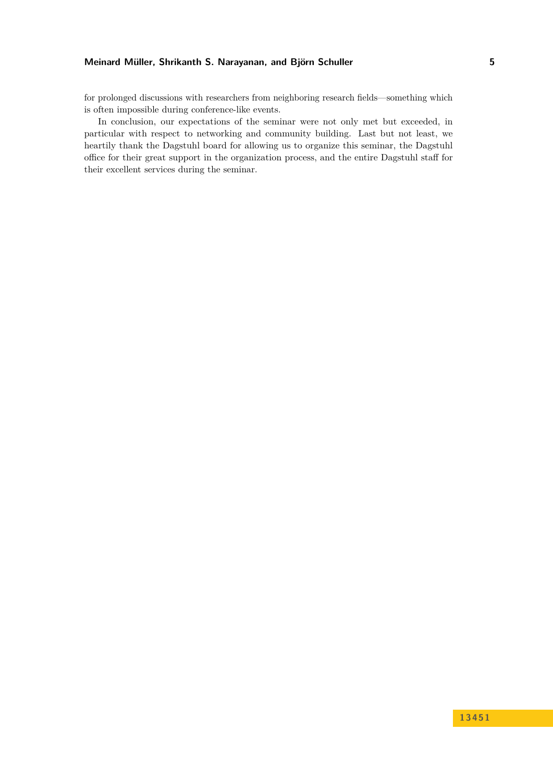for prolonged discussions with researchers from neighboring research fields—something which is often impossible during conference-like events.

In conclusion, our expectations of the seminar were not only met but exceeded, in particular with respect to networking and community building. Last but not least, we heartily thank the Dagstuhl board for allowing us to organize this seminar, the Dagstuhl office for their great support in the organization process, and the entire Dagstuhl staff for their excellent services during the seminar.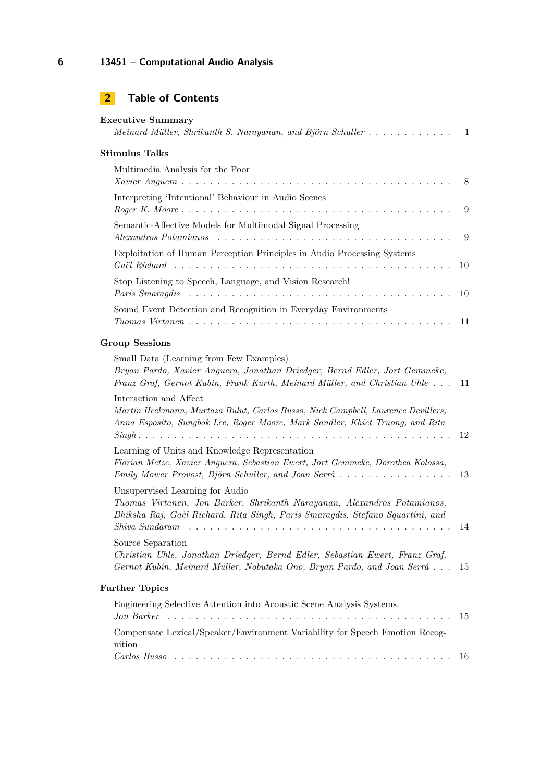| <b>Executive Summary</b><br>Meinard Müller, Shrikanth S. Narayanan, and Björn Schuller                                                                                                                                        | 1  |
|-------------------------------------------------------------------------------------------------------------------------------------------------------------------------------------------------------------------------------|----|
| <b>Stimulus Talks</b>                                                                                                                                                                                                         |    |
| Multimedia Analysis for the Poor                                                                                                                                                                                              | 8  |
| Interpreting 'Intentional' Behaviour in Audio Scenes<br>$Roger K. Moore \dots \dots \dots \dots \dots \dots \dots \dots \dots \dots \dots \dots \dots \dots \dots \dots$                                                      | 9  |
| Semantic-Affective Models for Multimodal Signal Processing<br>Alexandros Potamianos                                                                                                                                           | 9  |
| Exploitation of Human Perception Principles in Audio Processing Systems                                                                                                                                                       | 10 |
| Stop Listening to Speech, Language, and Vision Research!                                                                                                                                                                      | 10 |
| Sound Event Detection and Recognition in Everyday Environments                                                                                                                                                                | 11 |
| <b>Group Sessions</b>                                                                                                                                                                                                         |    |
| Small Data (Learning from Few Examples)<br>Bryan Pardo, Xavier Anguera, Jonathan Driedger, Bernd Edler, Jort Gemmeke,<br>Franz Graf, Gernot Kubin, Frank Kurth, Meinard Müller, and Christian Uhle                            | 11 |
| Interaction and Affect<br>Martin Heckmann, Murtaza Bulut, Carlos Busso, Nick Campbell, Laurence Devillers,<br>Anna Esposito, Sungbok Lee, Roger Moore, Mark Sandler, Khiet Truong, and Rita                                   | 12 |
| Learning of Units and Knowledge Representation<br>Florian Metze, Xavier Anguera, Sebastian Ewert, Jort Gemmeke, Dorothea Kolossa,<br>Emily Mower Provost, Björn Schuller, and Joan Serrà $\ldots \ldots \ldots \ldots \ldots$ | 13 |
| Unsupervised Learning for Audio<br>Tuomas Virtanen, Jon Barker, Shrikanth Narayanan, Alexandros Potamianos,<br>Bhiksha Raj, Gaël Richard, Rita Singh, Paris Smaragdis, Stefano Squartini, and<br>Shiva Sundaram               | 14 |
| Source Separation<br>Christian Uhle, Jonathan Driedger, Bernd Edler, Sebastian Ewert, Franz Graf,<br>Gernot Kubin, Meinard Müller, Nobutaka Ono, Bryan Pardo, and Joan Serrà                                                  | 15 |
| <b>Further Topics</b>                                                                                                                                                                                                         |    |
| Engineering Selective Attention into Acoustic Scene Analysis Systems.                                                                                                                                                         | 15 |
| Compensate Lexical/Speaker/Environment Variability for Speech Emotion Recog-<br>nition                                                                                                                                        |    |
|                                                                                                                                                                                                                               | 16 |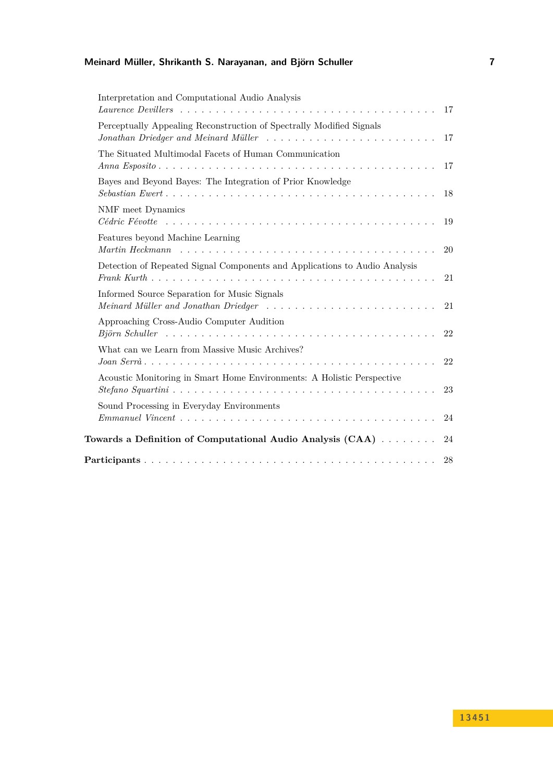# **Meinard Müller, Shrikanth S. Narayanan, and Björn Schuller 7**

| Interpretation and Computational Audio Analysis                                                                                                            | 17 |
|------------------------------------------------------------------------------------------------------------------------------------------------------------|----|
| Perceptually Appealing Reconstruction of Spectrally Modified Signals<br>Jonathan Driedger and Meinard Müller                                               | 17 |
| The Situated Multimodal Facets of Human Communication                                                                                                      | 17 |
| Bayes and Beyond Bayes: The Integration of Prior Knowledge                                                                                                 | 18 |
| NMF meet Dynamics                                                                                                                                          | 19 |
| Features beyond Machine Learning<br>Martin Heckmann $\ldots \ldots \ldots \ldots \ldots \ldots \ldots \ldots \ldots \ldots \ldots \ldots \ldots$           | 20 |
| Detection of Repeated Signal Components and Applications to Audio Analysis                                                                                 | 21 |
| Informed Source Separation for Music Signals<br>Meinard Müller and Jonathan Driedger                                                                       | 21 |
| Approaching Cross-Audio Computer Audition<br>$Bj\ddot{o}rn$ Schuller $\ldots \ldots \ldots \ldots \ldots \ldots \ldots \ldots \ldots \ldots \ldots \ldots$ | 22 |
| What can we Learn from Massive Music Archives?                                                                                                             | 22 |
| Acoustic Monitoring in Smart Home Environments: A Holistic Perspective                                                                                     | 23 |
| Sound Processing in Everyday Environments<br>$Emmanuel Vincent \dots \dots \dots \dots \dots \dots \dots \dots \dots \dots \dots \dots \dots \dots \dots$  | 24 |
| Towards a Definition of Computational Audio Analysis $(CAA)$                                                                                               | 24 |
|                                                                                                                                                            | 28 |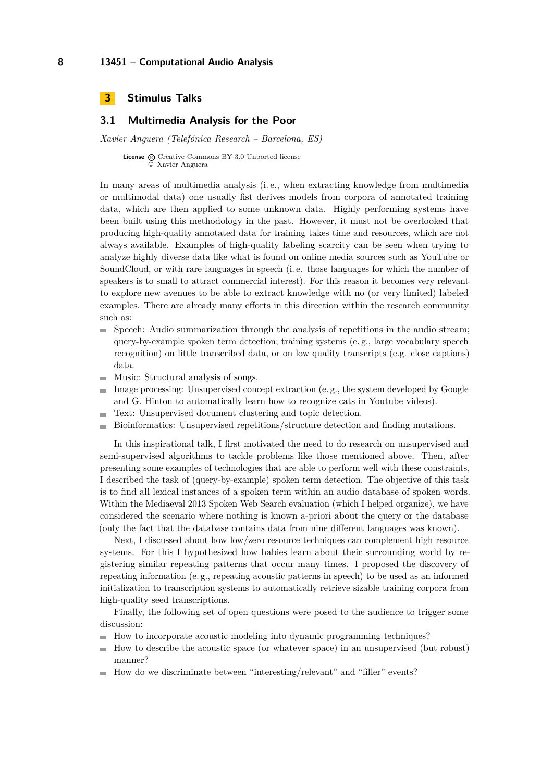<span id="page-7-0"></span>

# <span id="page-7-1"></span>**3.1 Multimedia Analysis for the Poor**

*Xavier Anguera (Telefónica Research – Barcelona, ES)*

License @ [Creative Commons BY 3.0 Unported](http://creativecommons.org/licenses/by/3.0/) license © [Xavier Anguera](#page-7-1)

In many areas of multimedia analysis (i. e., when extracting knowledge from multimedia or multimodal data) one usually fist derives models from corpora of annotated training data, which are then applied to some unknown data. Highly performing systems have been built using this methodology in the past. However, it must not be overlooked that producing high-quality annotated data for training takes time and resources, which are not always available. Examples of high-quality labeling scarcity can be seen when trying to analyze highly diverse data like what is found on online media sources such as YouTube or SoundCloud, or with rare languages in speech (i. e. those languages for which the number of speakers is to small to attract commercial interest). For this reason it becomes very relevant to explore new avenues to be able to extract knowledge with no (or very limited) labeled examples. There are already many efforts in this direction within the research community such as:

- $\blacksquare$  Speech: Audio summarization through the analysis of repetitions in the audio stream; query-by-example spoken term detection; training systems (e. g., large vocabulary speech recognition) on little transcribed data, or on low quality transcripts (e.g. close captions) data.
- $\blacksquare$  Music: Structural analysis of songs.
- Image processing: Unsupervised concept extraction (e. g., the system developed by Google and G. Hinton to automatically learn how to recognize cats in Youtube videos).
- Text: Unsupervised document clustering and topic detection.  $\rightarrow$
- Bioinformatics: Unsupervised repetitions/structure detection and finding mutations.

In this inspirational talk, I first motivated the need to do research on unsupervised and semi-supervised algorithms to tackle problems like those mentioned above. Then, after presenting some examples of technologies that are able to perform well with these constraints, I described the task of (query-by-example) spoken term detection. The objective of this task is to find all lexical instances of a spoken term within an audio database of spoken words. Within the Mediaeval 2013 Spoken Web Search evaluation (which I helped organize), we have considered the scenario where nothing is known a-priori about the query or the database (only the fact that the database contains data from nine different languages was known).

Next, I discussed about how low/zero resource techniques can complement high resource systems. For this I hypothesized how babies learn about their surrounding world by registering similar repeating patterns that occur many times. I proposed the discovery of repeating information (e. g., repeating acoustic patterns in speech) to be used as an informed initialization to transcription systems to automatically retrieve sizable training corpora from high-quality seed transcriptions.

Finally, the following set of open questions were posed to the audience to trigger some discussion:

- How to incorporate acoustic modeling into dynamic programming techniques?
- $\blacksquare$ How to describe the acoustic space (or whatever space) in an unsupervised (but robust) manner?
- How do we discriminate between "interesting/relevant" and "filler" events?m.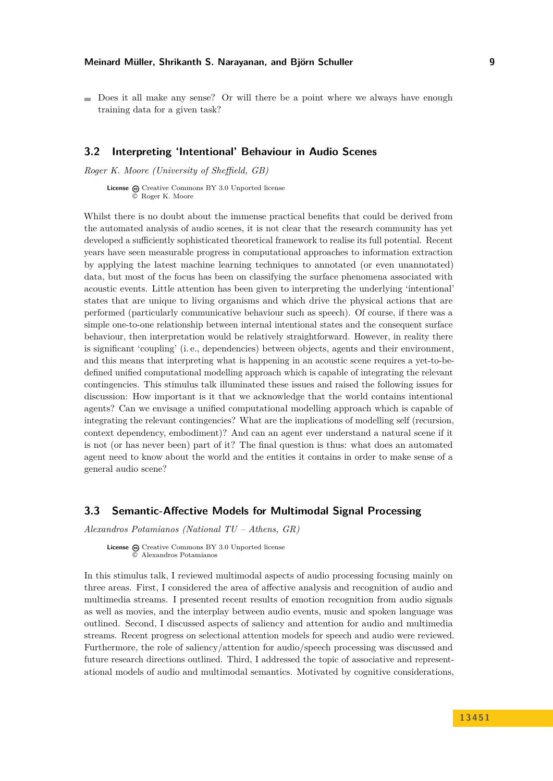- 
- $\blacksquare$  Does it all make any sense? Or will there be a point where we always have enough training data for a given task?

### <span id="page-8-0"></span>**3.2 Interpreting 'Intentional' Behaviour in Audio Scenes**

*Roger K. Moore (University of Sheffield, GB)*

License  $\bigcirc$  [Creative Commons BY 3.0 Unported](http://creativecommons.org/licenses/by/3.0/) license © [Roger K. Moore](#page-8-0)

Whilst there is no doubt about the immense practical benefits that could be derived from the automated analysis of audio scenes, it is not clear that the research community has yet developed a sufficiently sophisticated theoretical framework to realise its full potential. Recent years have seen measurable progress in computational approaches to information extraction by applying the latest machine learning techniques to annotated (or even unannotated) data, but most of the focus has been on classifying the surface phenomena associated with acoustic events. Little attention has been given to interpreting the underlying 'intentional' states that are unique to living organisms and which drive the physical actions that are performed (particularly communicative behaviour such as speech). Of course, if there was a simple one-to-one relationship between internal intentional states and the consequent surface behaviour, then interpretation would be relatively straightforward. However, in reality there is significant 'coupling' (i. e., dependencies) between objects, agents and their environment, and this means that interpreting what is happening in an acoustic scene requires a yet-to-bedefined unified computational modelling approach which is capable of integrating the relevant contingencies. This stimulus talk illuminated these issues and raised the following issues for discussion: How important is it that we acknowledge that the world contains intentional agents? Can we envisage a unified computational modelling approach which is capable of integrating the relevant contingencies? What are the implications of modelling self (recursion, context dependency, embodiment)? And can an agent ever understand a natural scene if it is not (or has never been) part of it? The final question is thus: what does an automated agent need to know about the world and the entities it contains in order to make sense of a general audio scene?

#### <span id="page-8-1"></span>**3.3 Semantic-Affective Models for Multimodal Signal Processing**

*Alexandros Potamianos (National TU – Athens, GR)*

**License**  $\textcircled{c}$  [Creative Commons BY 3.0 Unported](http://creativecommons.org/licenses/by/3.0/) license © [Alexandros Potamianos](#page-8-1)

In this stimulus talk, I reviewed multimodal aspects of audio processing focusing mainly on three areas. First, I considered the area of affective analysis and recognition of audio and multimedia streams. I presented recent results of emotion recognition from audio signals as well as movies, and the interplay between audio events, music and spoken language was outlined. Second, I discussed aspects of saliency and attention for audio and multimedia streams. Recent progress on selectional attention models for speech and audio were reviewed. Furthermore, the role of saliency/attention for audio/speech processing was discussed and future research directions outlined. Third, I addressed the topic of associative and representational models of audio and multimodal semantics. Motivated by cognitive considerations,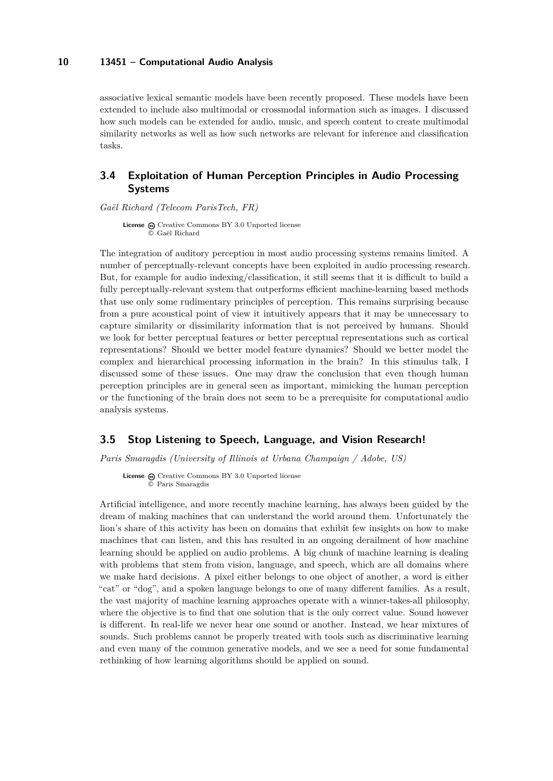associative lexical semantic models have been recently proposed. These models have been extended to include also multimodal or crossmodal information such as images. I discussed how such models can be extended for audio, music, and speech content to create multimodal similarity networks as well as how such networks are relevant for inference and classification tasks.

# <span id="page-9-0"></span>**3.4 Exploitation of Human Perception Principles in Audio Processing Systems**

*Gaël Richard (Telecom ParisTech, FR)*

License  $\textcircled{c}$  [Creative Commons BY 3.0 Unported](http://creativecommons.org/licenses/by/3.0/) license © [Gaël Richard](#page-9-0)

The integration of auditory perception in most audio processing systems remains limited. A number of perceptually-relevant concepts have been exploited in audio processing research. But, for example for audio indexing/classification, it still seems that it is difficult to build a fully perceptually-relevant system that outperforms efficient machine-learning based methods that use only some rudimentary principles of perception. This remains surprising because from a pure acoustical point of view it intuitively appears that it may be unnecessary to capture similarity or dissimilarity information that is not perceived by humans. Should we look for better perceptual features or better perceptual representations such as cortical representations? Should we better model feature dynamics? Should we better model the complex and hierarchical processing information in the brain? In this stimulus talk, I discussed some of these issues. One may draw the conclusion that even though human perception principles are in general seen as important, mimicking the human perception or the functioning of the brain does not seem to be a prerequisite for computational audio analysis systems.

### <span id="page-9-1"></span>**3.5 Stop Listening to Speech, Language, and Vision Research!**

*Paris Smaragdis (University of Illinois at Urbana Champaign / Adobe, US)*

License  $\Theta$  [Creative Commons BY 3.0 Unported](http://creativecommons.org/licenses/by/3.0/) license © [Paris Smaragdis](#page-9-1)

Artificial intelligence, and more recently machine learning, has always been guided by the dream of making machines that can understand the world around them. Unfortunately the lion's share of this activity has been on domains that exhibit few insights on how to make machines that can listen, and this has resulted in an ongoing derailment of how machine learning should be applied on audio problems. A big chunk of machine learning is dealing with problems that stem from vision, language, and speech, which are all domains where we make hard decisions. A pixel either belongs to one object of another, a word is either "cat" or "dog", and a spoken language belongs to one of many different families. As a result, the vast majority of machine learning approaches operate with a winner-takes-all philosophy, where the objective is to find that one solution that is the only correct value. Sound however is different. In real-life we never hear one sound or another. Instead, we hear mixtures of sounds. Such problems cannot be properly treated with tools such as discriminative learning and even many of the common generative models, and we see a need for some fundamental rethinking of how learning algorithms should be applied on sound.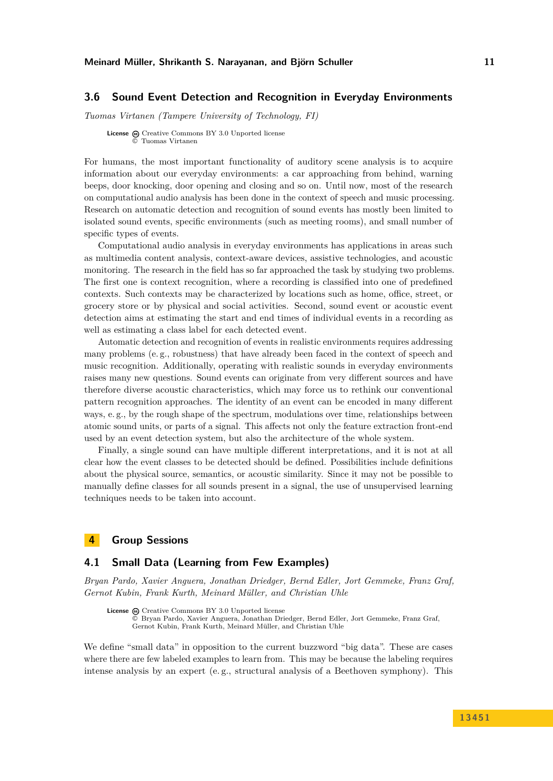### <span id="page-10-1"></span>**3.6 Sound Event Detection and Recognition in Everyday Environments**

*Tuomas Virtanen (Tampere University of Technology, FI)*

**License**  $\textcircled{e}$  [Creative Commons BY 3.0 Unported](http://creativecommons.org/licenses/by/3.0/) license © [Tuomas Virtanen](#page-10-1)

For humans, the most important functionality of auditory scene analysis is to acquire information about our everyday environments: a car approaching from behind, warning beeps, door knocking, door opening and closing and so on. Until now, most of the research on computational audio analysis has been done in the context of speech and music processing. Research on automatic detection and recognition of sound events has mostly been limited to isolated sound events, specific environments (such as meeting rooms), and small number of specific types of events.

Computational audio analysis in everyday environments has applications in areas such as multimedia content analysis, context-aware devices, assistive technologies, and acoustic monitoring. The research in the field has so far approached the task by studying two problems. The first one is context recognition, where a recording is classified into one of predefined contexts. Such contexts may be characterized by locations such as home, office, street, or grocery store or by physical and social activities. Second, sound event or acoustic event detection aims at estimating the start and end times of individual events in a recording as well as estimating a class label for each detected event.

Automatic detection and recognition of events in realistic environments requires addressing many problems (e. g., robustness) that have already been faced in the context of speech and music recognition. Additionally, operating with realistic sounds in everyday environments raises many new questions. Sound events can originate from very different sources and have therefore diverse acoustic characteristics, which may force us to rethink our conventional pattern recognition approaches. The identity of an event can be encoded in many different ways, e.g., by the rough shape of the spectrum, modulations over time, relationships between atomic sound units, or parts of a signal. This affects not only the feature extraction front-end used by an event detection system, but also the architecture of the whole system.

Finally, a single sound can have multiple different interpretations, and it is not at all clear how the event classes to be detected should be defined. Possibilities include definitions about the physical source, semantics, or acoustic similarity. Since it may not be possible to manually define classes for all sounds present in a signal, the use of unsupervised learning techniques needs to be taken into account.

### <span id="page-10-0"></span>**4 Group Sessions**

### <span id="page-10-2"></span>**4.1 Small Data (Learning from Few Examples)**

*Bryan Pardo, Xavier Anguera, Jonathan Driedger, Bernd Edler, Jort Gemmeke, Franz Graf, Gernot Kubin, Frank Kurth, Meinard Müller, and Christian Uhle*

License  $\bigcirc$  [Creative Commons BY 3.0 Unported](http://creativecommons.org/licenses/by/3.0/) license © [Bryan Pardo, Xavier Anguera, Jonathan Driedger, Bernd Edler, Jort Gemmeke, Franz Graf,](#page-10-2) [Gernot Kubin, Frank Kurth, Meinard Müller, and Christian Uhle](#page-10-2)

We define "small data" in opposition to the current buzzword "big data". These are cases where there are few labeled examples to learn from. This may be because the labeling requires intense analysis by an expert (e. g., structural analysis of a Beethoven symphony). This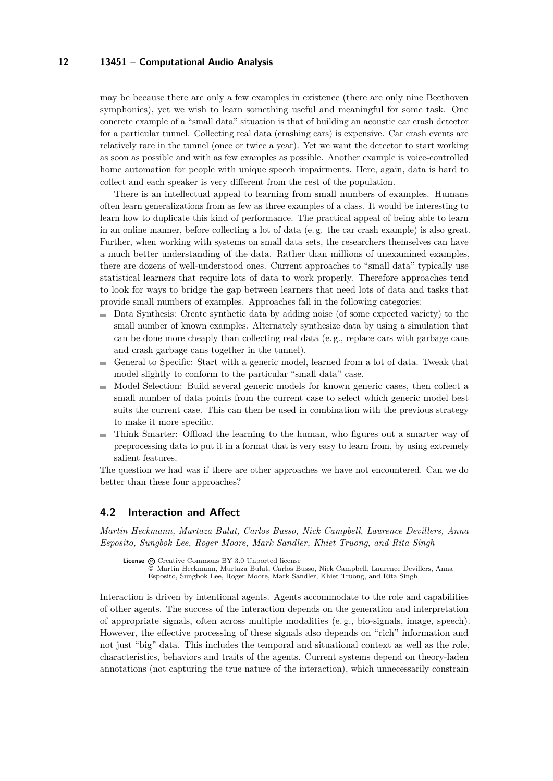may be because there are only a few examples in existence (there are only nine Beethoven symphonies), yet we wish to learn something useful and meaningful for some task. One concrete example of a "small data" situation is that of building an acoustic car crash detector for a particular tunnel. Collecting real data (crashing cars) is expensive. Car crash events are relatively rare in the tunnel (once or twice a year). Yet we want the detector to start working as soon as possible and with as few examples as possible. Another example is voice-controlled home automation for people with unique speech impairments. Here, again, data is hard to collect and each speaker is very different from the rest of the population.

There is an intellectual appeal to learning from small numbers of examples. Humans often learn generalizations from as few as three examples of a class. It would be interesting to learn how to duplicate this kind of performance. The practical appeal of being able to learn in an online manner, before collecting a lot of data (e. g. the car crash example) is also great. Further, when working with systems on small data sets, the researchers themselves can have a much better understanding of the data. Rather than millions of unexamined examples, there are dozens of well-understood ones. Current approaches to "small data" typically use statistical learners that require lots of data to work properly. Therefore approaches tend to look for ways to bridge the gap between learners that need lots of data and tasks that provide small numbers of examples. Approaches fall in the following categories:

- Data Synthesis: Create synthetic data by adding noise (of some expected variety) to the small number of known examples. Alternately synthesize data by using a simulation that can be done more cheaply than collecting real data (e. g., replace cars with garbage cans and crash garbage cans together in the tunnel).
- General to Specific: Start with a generic model, learned from a lot of data. Tweak that  $\blacksquare$ model slightly to conform to the particular "small data" case.
- Model Selection: Build several generic models for known generic cases, then collect a  $\sim$ small number of data points from the current case to select which generic model best suits the current case. This can then be used in combination with the previous strategy to make it more specific.
- Think Smarter: Offload the learning to the human, who figures out a smarter way of m. preprocessing data to put it in a format that is very easy to learn from, by using extremely salient features.

The question we had was if there are other approaches we have not encountered. Can we do better than these four approaches?

#### <span id="page-11-0"></span>**4.2 Interaction and Affect**

*Martin Heckmann, Murtaza Bulut, Carlos Busso, Nick Campbell, Laurence Devillers, Anna Esposito, Sungbok Lee, Roger Moore, Mark Sandler, Khiet Truong, and Rita Singh*

```
License \odotCreative Commons BY 3.0 Unported license
```
© [Martin Heckmann, Murtaza Bulut, Carlos Busso, Nick Campbell, Laurence Devillers, Anna](#page-11-0) [Esposito, Sungbok Lee, Roger Moore, Mark Sandler, Khiet Truong, and Rita Singh](#page-11-0)

Interaction is driven by intentional agents. Agents accommodate to the role and capabilities of other agents. The success of the interaction depends on the generation and interpretation of appropriate signals, often across multiple modalities (e. g., bio-signals, image, speech). However, the effective processing of these signals also depends on "rich" information and not just "big" data. This includes the temporal and situational context as well as the role, characteristics, behaviors and traits of the agents. Current systems depend on theory-laden annotations (not capturing the true nature of the interaction), which unnecessarily constrain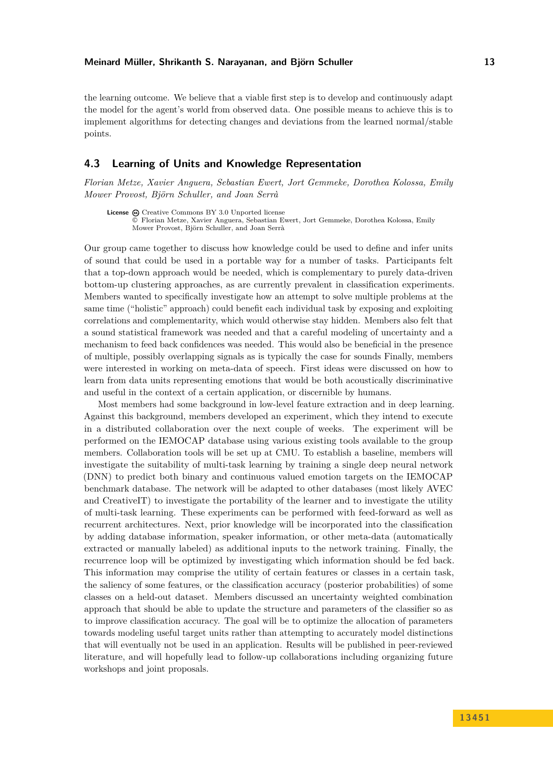the learning outcome. We believe that a viable first step is to develop and continuously adapt the model for the agent's world from observed data. One possible means to achieve this is to implement algorithms for detecting changes and deviations from the learned normal/stable points.

#### <span id="page-12-0"></span>**4.3 Learning of Units and Knowledge Representation**

*Florian Metze, Xavier Anguera, Sebastian Ewert, Jort Gemmeke, Dorothea Kolossa, Emily Mower Provost, Björn Schuller, and Joan Serrà*

License  $\bigcirc$  [Creative Commons BY 3.0 Unported](http://creativecommons.org/licenses/by/3.0/) license © [Florian Metze, Xavier Anguera, Sebastian Ewert, Jort Gemmeke, Dorothea Kolossa, Emily](#page-12-0) [Mower Provost, Björn Schuller, and Joan Serrà](#page-12-0)

Our group came together to discuss how knowledge could be used to define and infer units of sound that could be used in a portable way for a number of tasks. Participants felt that a top-down approach would be needed, which is complementary to purely data-driven bottom-up clustering approaches, as are currently prevalent in classification experiments. Members wanted to specifically investigate how an attempt to solve multiple problems at the same time ("holistic" approach) could benefit each individual task by exposing and exploiting correlations and complementarity, which would otherwise stay hidden. Members also felt that a sound statistical framework was needed and that a careful modeling of uncertainty and a mechanism to feed back confidences was needed. This would also be beneficial in the presence of multiple, possibly overlapping signals as is typically the case for sounds Finally, members were interested in working on meta-data of speech. First ideas were discussed on how to learn from data units representing emotions that would be both acoustically discriminative and useful in the context of a certain application, or discernible by humans.

Most members had some background in low-level feature extraction and in deep learning. Against this background, members developed an experiment, which they intend to execute in a distributed collaboration over the next couple of weeks. The experiment will be performed on the IEMOCAP database using various existing tools available to the group members. Collaboration tools will be set up at CMU. To establish a baseline, members will investigate the suitability of multi-task learning by training a single deep neural network (DNN) to predict both binary and continuous valued emotion targets on the IEMOCAP benchmark database. The network will be adapted to other databases (most likely AVEC and CreativeIT) to investigate the portability of the learner and to investigate the utility of multi-task learning. These experiments can be performed with feed-forward as well as recurrent architectures. Next, prior knowledge will be incorporated into the classification by adding database information, speaker information, or other meta-data (automatically extracted or manually labeled) as additional inputs to the network training. Finally, the recurrence loop will be optimized by investigating which information should be fed back. This information may comprise the utility of certain features or classes in a certain task, the saliency of some features, or the classification accuracy (posterior probabilities) of some classes on a held-out dataset. Members discussed an uncertainty weighted combination approach that should be able to update the structure and parameters of the classifier so as to improve classification accuracy. The goal will be to optimize the allocation of parameters towards modeling useful target units rather than attempting to accurately model distinctions that will eventually not be used in an application. Results will be published in peer-reviewed literature, and will hopefully lead to follow-up collaborations including organizing future workshops and joint proposals.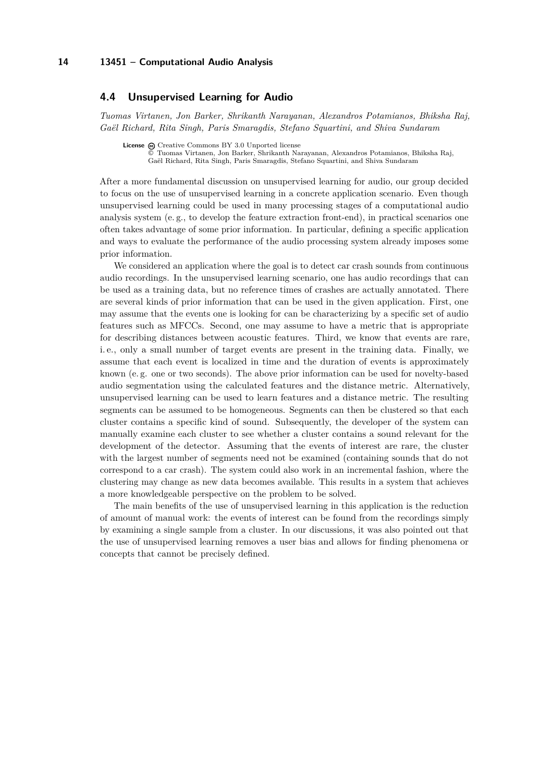### <span id="page-13-0"></span>**4.4 Unsupervised Learning for Audio**

*Tuomas Virtanen, Jon Barker, Shrikanth Narayanan, Alexandros Potamianos, Bhiksha Raj, Gaël Richard, Rita Singh, Paris Smaragdis, Stefano Squartini, and Shiva Sundaram*

```
License \textcircled{e}Creative Commons BY 3.0 Unported license
```
© [Tuomas Virtanen, Jon Barker, Shrikanth Narayanan, Alexandros Potamianos, Bhiksha Raj,](#page-13-0) [Gaël Richard, Rita Singh, Paris Smaragdis, Stefano Squartini, and Shiva Sundaram](#page-13-0)

After a more fundamental discussion on unsupervised learning for audio, our group decided to focus on the use of unsupervised learning in a concrete application scenario. Even though unsupervised learning could be used in many processing stages of a computational audio analysis system (e. g., to develop the feature extraction front-end), in practical scenarios one often takes advantage of some prior information. In particular, defining a specific application and ways to evaluate the performance of the audio processing system already imposes some prior information.

We considered an application where the goal is to detect car crash sounds from continuous audio recordings. In the unsupervised learning scenario, one has audio recordings that can be used as a training data, but no reference times of crashes are actually annotated. There are several kinds of prior information that can be used in the given application. First, one may assume that the events one is looking for can be characterizing by a specific set of audio features such as MFCCs. Second, one may assume to have a metric that is appropriate for describing distances between acoustic features. Third, we know that events are rare, i. e., only a small number of target events are present in the training data. Finally, we assume that each event is localized in time and the duration of events is approximately known (e. g. one or two seconds). The above prior information can be used for novelty-based audio segmentation using the calculated features and the distance metric. Alternatively, unsupervised learning can be used to learn features and a distance metric. The resulting segments can be assumed to be homogeneous. Segments can then be clustered so that each cluster contains a specific kind of sound. Subsequently, the developer of the system can manually examine each cluster to see whether a cluster contains a sound relevant for the development of the detector. Assuming that the events of interest are rare, the cluster with the largest number of segments need not be examined (containing sounds that do not correspond to a car crash). The system could also work in an incremental fashion, where the clustering may change as new data becomes available. This results in a system that achieves a more knowledgeable perspective on the problem to be solved.

The main benefits of the use of unsupervised learning in this application is the reduction of amount of manual work: the events of interest can be found from the recordings simply by examining a single sample from a cluster. In our discussions, it was also pointed out that the use of unsupervised learning removes a user bias and allows for finding phenomena or concepts that cannot be precisely defined.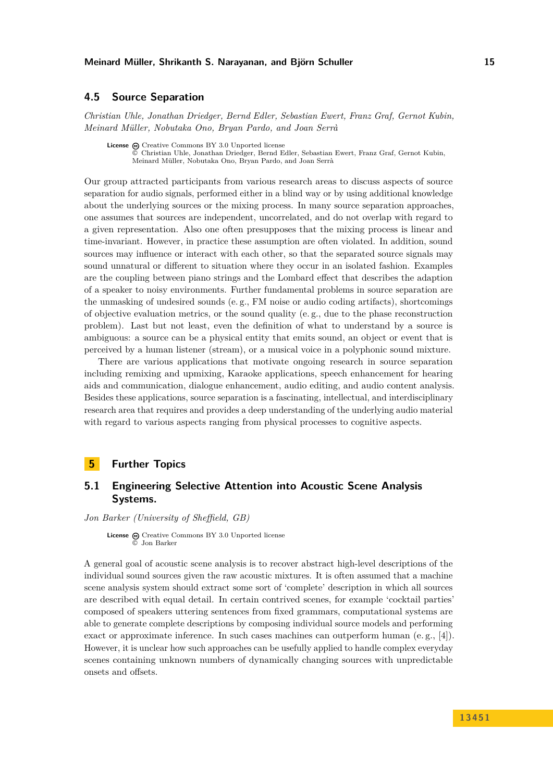### <span id="page-14-0"></span>**4.5 Source Separation**

*Christian Uhle, Jonathan Driedger, Bernd Edler, Sebastian Ewert, Franz Graf, Gernot Kubin, Meinard Müller, Nobutaka Ono, Bryan Pardo, and Joan Serrà*

License  $\textcircled{c}$  [Creative Commons BY 3.0 Unported](http://creativecommons.org/licenses/by/3.0/) license © [Christian Uhle, Jonathan Driedger, Bernd Edler, Sebastian Ewert, Franz Graf, Gernot Kubin,](#page-14-0) [Meinard Müller, Nobutaka Ono, Bryan Pardo, and Joan Serrà](#page-14-0)

Our group attracted participants from various research areas to discuss aspects of source separation for audio signals, performed either in a blind way or by using additional knowledge about the underlying sources or the mixing process. In many source separation approaches, one assumes that sources are independent, uncorrelated, and do not overlap with regard to a given representation. Also one often presupposes that the mixing process is linear and time-invariant. However, in practice these assumption are often violated. In addition, sound sources may influence or interact with each other, so that the separated source signals may sound unnatural or different to situation where they occur in an isolated fashion. Examples are the coupling between piano strings and the Lombard effect that describes the adaption of a speaker to noisy environments. Further fundamental problems in source separation are the unmasking of undesired sounds (e. g., FM noise or audio coding artifacts), shortcomings of objective evaluation metrics, or the sound quality (e. g., due to the phase reconstruction problem). Last but not least, even the definition of what to understand by a source is ambiguous: a source can be a physical entity that emits sound, an object or event that is perceived by a human listener (stream), or a musical voice in a polyphonic sound mixture.

There are various applications that motivate ongoing research in source separation including remixing and upmixing, Karaoke applications, speech enhancement for hearing aids and communication, dialogue enhancement, audio editing, and audio content analysis. Besides these applications, source separation is a fascinating, intellectual, and interdisciplinary research area that requires and provides a deep understanding of the underlying audio material with regard to various aspects ranging from physical processes to cognitive aspects.

# <span id="page-14-1"></span>**5 Further Topics**

# <span id="page-14-2"></span>**5.1 Engineering Selective Attention into Acoustic Scene Analysis Systems.**

*Jon Barker (University of Sheffield, GB)*

License @ [Creative Commons BY 3.0 Unported](http://creativecommons.org/licenses/by/3.0/) license © [Jon Barker](#page-14-2)

A general goal of acoustic scene analysis is to recover abstract high-level descriptions of the individual sound sources given the raw acoustic mixtures. It is often assumed that a machine scene analysis system should extract some sort of 'complete' description in which all sources are described with equal detail. In certain contrived scenes, for example 'cocktail parties' composed of speakers uttering sentences from fixed grammars, computational systems are able to generate complete descriptions by composing individual source models and performing exact or approximate inference. In such cases machines can outperform human (e.g., [\[4\]](#page-15-1)). However, it is unclear how such approaches can be usefully applied to handle complex everyday scenes containing unknown numbers of dynamically changing sources with unpredictable onsets and offsets.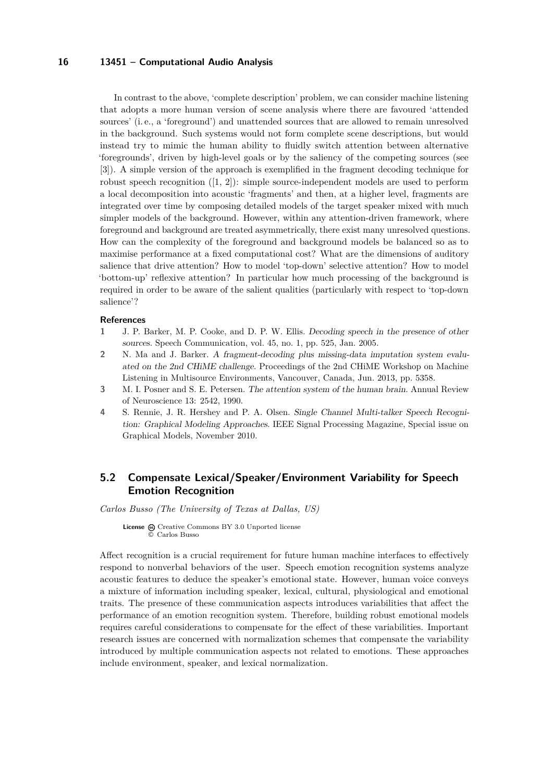In contrast to the above, 'complete description' problem, we can consider machine listening that adopts a more human version of scene analysis where there are favoured 'attended sources' (i. e., a 'foreground') and unattended sources that are allowed to remain unresolved in the background. Such systems would not form complete scene descriptions, but would instead try to mimic the human ability to fluidly switch attention between alternative 'foregrounds', driven by high-level goals or by the saliency of the competing sources (see [\[3\]](#page-15-2)). A simple version of the approach is exemplified in the fragment decoding technique for robust speech recognition  $([1, 2])$  $([1, 2])$  $([1, 2])$  $([1, 2])$  $([1, 2])$ : simple source-independent models are used to perform a local decomposition into acoustic 'fragments' and then, at a higher level, fragments are integrated over time by composing detailed models of the target speaker mixed with much simpler models of the background. However, within any attention-driven framework, where foreground and background are treated asymmetrically, there exist many unresolved questions. How can the complexity of the foreground and background models be balanced so as to maximise performance at a fixed computational cost? What are the dimensions of auditory salience that drive attention? How to model 'top-down' selective attention? How to model 'bottom-up' reflexive attention? In particular how much processing of the background is required in order to be aware of the salient qualities (particularly with respect to 'top-down salience'?

#### **References**

- <span id="page-15-3"></span>**1** J. P. Barker, M. P. Cooke, and D. P. W. Ellis. Decoding speech in the presence of other sources. Speech Communication, vol. 45, no. 1, pp. 525, Jan. 2005.
- <span id="page-15-4"></span>**2** N. Ma and J. Barker. A fragment-decoding plus missing-data imputation system evaluated on the 2nd CHiME challenge. Proceedings of the 2nd CHiME Workshop on Machine Listening in Multisource Environments, Vancouver, Canada, Jun. 2013, pp. 5358.
- <span id="page-15-2"></span>**3** M. I. Posner and S. E. Petersen. The attention system of the human brain. Annual Review of Neuroscience 13: 2542, 1990.
- <span id="page-15-1"></span>**4** S. Rennie, J. R. Hershey and P. A. Olsen. Single Channel Multi-talker Speech Recognition: Graphical Modeling Approaches. IEEE Signal Processing Magazine, Special issue on Graphical Models, November 2010.

# <span id="page-15-0"></span>**5.2 Compensate Lexical/Speaker/Environment Variability for Speech Emotion Recognition**

*Carlos Busso (The University of Texas at Dallas, US)*

**License**  $\textcircled{e}$  [Creative Commons BY 3.0 Unported](http://creativecommons.org/licenses/by/3.0/) license © [Carlos Busso](#page-15-0)

Affect recognition is a crucial requirement for future human machine interfaces to effectively respond to nonverbal behaviors of the user. Speech emotion recognition systems analyze acoustic features to deduce the speaker's emotional state. However, human voice conveys a mixture of information including speaker, lexical, cultural, physiological and emotional traits. The presence of these communication aspects introduces variabilities that affect the performance of an emotion recognition system. Therefore, building robust emotional models requires careful considerations to compensate for the effect of these variabilities. Important research issues are concerned with normalization schemes that compensate the variability introduced by multiple communication aspects not related to emotions. These approaches include environment, speaker, and lexical normalization.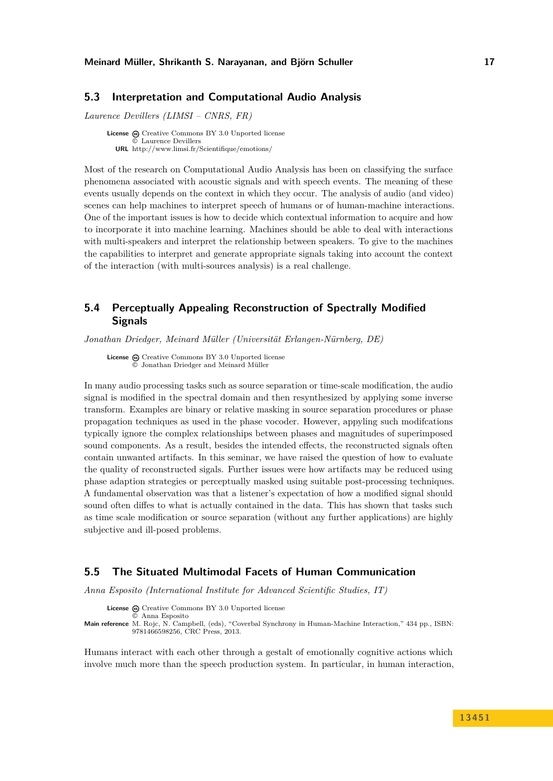#### **Meinard Müller, Shrikanth S. Narayanan, and Björn Schuller 17**

### <span id="page-16-0"></span>**5.3 Interpretation and Computational Audio Analysis**

*Laurence Devillers (LIMSI – CNRS, FR)*

**License**  $\odot$  [Creative Commons BY 3.0 Unported](http://creativecommons.org/licenses/by/3.0/) license © [Laurence Devillers](#page-16-0) **URL** <http://www.limsi.fr/Scientifique/emotions/>

Most of the research on Computational Audio Analysis has been on classifying the surface phenomena associated with acoustic signals and with speech events. The meaning of these events usually depends on the context in which they occur. The analysis of audio (and video) scenes can help machines to interpret speech of humans or of human-machine interactions. One of the important issues is how to decide which contextual information to acquire and how to incorporate it into machine learning. Machines should be able to deal with interactions with multi-speakers and interpret the relationship between speakers. To give to the machines the capabilities to interpret and generate appropriate signals taking into account the context of the interaction (with multi-sources analysis) is a real challenge.

# <span id="page-16-1"></span>**5.4 Perceptually Appealing Reconstruction of Spectrally Modified Signals**

*Jonathan Driedger, Meinard Müller (Universität Erlangen-Nürnberg, DE)*

License  $\textcircled{c}$  [Creative Commons BY 3.0 Unported](http://creativecommons.org/licenses/by/3.0/) license © [Jonathan Driedger and Meinard Müller](#page-16-1)

In many audio processing tasks such as source separation or time-scale modification, the audio signal is modified in the spectral domain and then resynthesized by applying some inverse transform. Examples are binary or relative masking in source separation procedures or phase propagation techniques as used in the phase vocoder. However, appyling such modifcations typically ignore the complex relationships between phases and magnitudes of superimposed sound components. As a result, besides the intended effects, the reconstructed signals often contain unwanted artifacts. In this seminar, we have raised the question of how to evaluate the quality of reconstructed sigals. Further issues were how artifacts may be reduced using phase adaption strategies or perceptually masked using suitable post-processing techniques. A fundamental observation was that a listener's expectation of how a modified signal should sound often diffes to what is actually contained in the data. This has shown that tasks such as time scale modification or source separation (without any further applications) are highly subjective and ill-posed problems.

## <span id="page-16-2"></span>**5.5 The Situated Multimodal Facets of Human Communication**

*Anna Esposito (International Institute for Advanced Scientific Studies, IT)*

License  $\bigcirc$  [Creative Commons BY 3.0 Unported](http://creativecommons.org/licenses/by/3.0/) license © [Anna Esposito](#page-16-2)

**Main reference** [M. Rojc, N. Campbell, \(eds\), "Coverbal Synchrony in Human-Machine Interaction," 434 pp., ISBN:](M. Rojc, N. Campbell, (eds), ``Coverbal Synchrony in Human-Machine Interaction,) [9781466598256, CRC Press, 2013.](M. Rojc, N. Campbell, (eds), ``Coverbal Synchrony in Human-Machine Interaction,)

Humans interact with each other through a gestalt of emotionally cognitive actions which involve much more than the speech production system. In particular, in human interaction,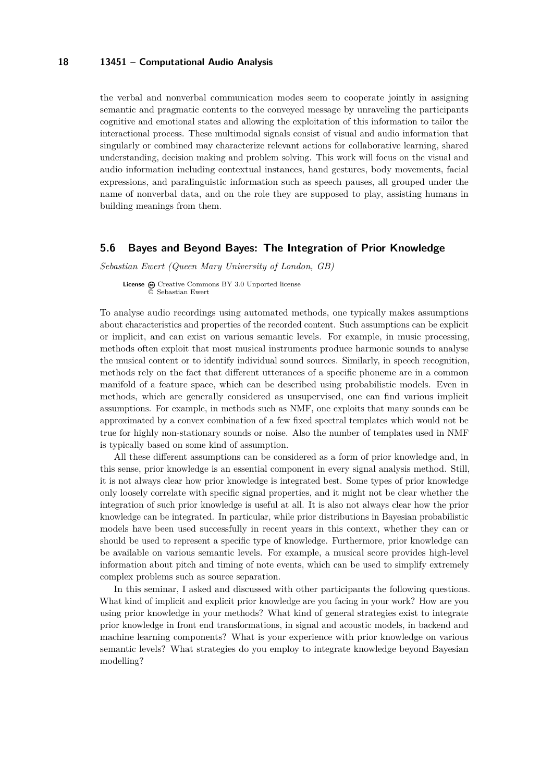the verbal and nonverbal communication modes seem to cooperate jointly in assigning semantic and pragmatic contents to the conveyed message by unraveling the participants cognitive and emotional states and allowing the exploitation of this information to tailor the interactional process. These multimodal signals consist of visual and audio information that singularly or combined may characterize relevant actions for collaborative learning, shared understanding, decision making and problem solving. This work will focus on the visual and audio information including contextual instances, hand gestures, body movements, facial expressions, and paralinguistic information such as speech pauses, all grouped under the name of nonverbal data, and on the role they are supposed to play, assisting humans in building meanings from them.

### <span id="page-17-0"></span>**5.6 Bayes and Beyond Bayes: The Integration of Prior Knowledge**

*Sebastian Ewert (Queen Mary University of London, GB)*

License  $\textcircled{c}$  [Creative Commons BY 3.0 Unported](http://creativecommons.org/licenses/by/3.0/) license © [Sebastian Ewert](#page-17-0)

To analyse audio recordings using automated methods, one typically makes assumptions about characteristics and properties of the recorded content. Such assumptions can be explicit or implicit, and can exist on various semantic levels. For example, in music processing, methods often exploit that most musical instruments produce harmonic sounds to analyse the musical content or to identify individual sound sources. Similarly, in speech recognition, methods rely on the fact that different utterances of a specific phoneme are in a common manifold of a feature space, which can be described using probabilistic models. Even in methods, which are generally considered as unsupervised, one can find various implicit assumptions. For example, in methods such as NMF, one exploits that many sounds can be approximated by a convex combination of a few fixed spectral templates which would not be true for highly non-stationary sounds or noise. Also the number of templates used in NMF is typically based on some kind of assumption.

All these different assumptions can be considered as a form of prior knowledge and, in this sense, prior knowledge is an essential component in every signal analysis method. Still, it is not always clear how prior knowledge is integrated best. Some types of prior knowledge only loosely correlate with specific signal properties, and it might not be clear whether the integration of such prior knowledge is useful at all. It is also not always clear how the prior knowledge can be integrated. In particular, while prior distributions in Bayesian probabilistic models have been used successfully in recent years in this context, whether they can or should be used to represent a specific type of knowledge. Furthermore, prior knowledge can be available on various semantic levels. For example, a musical score provides high-level information about pitch and timing of note events, which can be used to simplify extremely complex problems such as source separation.

In this seminar, I asked and discussed with other participants the following questions. What kind of implicit and explicit prior knowledge are you facing in your work? How are you using prior knowledge in your methods? What kind of general strategies exist to integrate prior knowledge in front end transformations, in signal and acoustic models, in backend and machine learning components? What is your experience with prior knowledge on various semantic levels? What strategies do you employ to integrate knowledge beyond Bayesian modelling?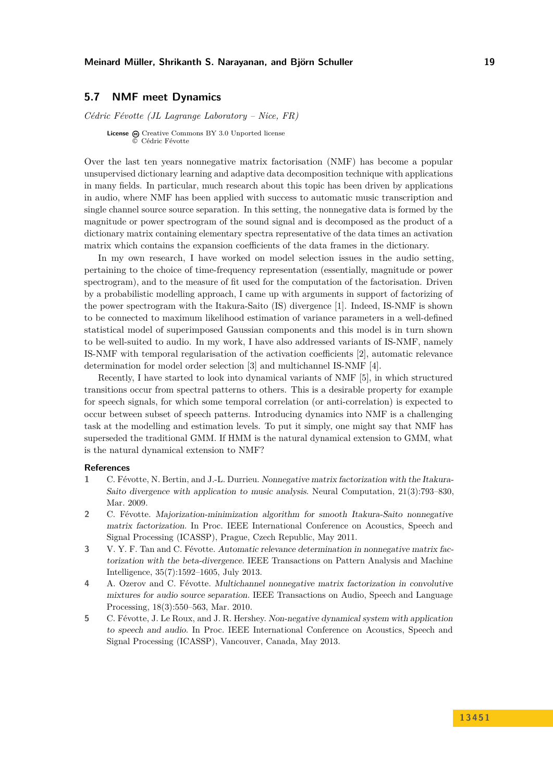#### **Meinard Müller, Shrikanth S. Narayanan, and Björn Schuller 19**

### <span id="page-18-0"></span>**5.7 NMF meet Dynamics**

*Cédric Févotte (JL Lagrange Laboratory – Nice, FR)*

**License**  $\textcircled{e}$  [Creative Commons BY 3.0 Unported](http://creativecommons.org/licenses/by/3.0/) license © [Cédric Févotte](#page-18-0)

Over the last ten years nonnegative matrix factorisation (NMF) has become a popular unsupervised dictionary learning and adaptive data decomposition technique with applications in many fields. In particular, much research about this topic has been driven by applications in audio, where NMF has been applied with success to automatic music transcription and single channel source source separation. In this setting, the nonnegative data is formed by the magnitude or power spectrogram of the sound signal and is decomposed as the product of a dictionary matrix containing elementary spectra representative of the data times an activation matrix which contains the expansion coefficients of the data frames in the dictionary.

In my own research, I have worked on model selection issues in the audio setting, pertaining to the choice of time-frequency representation (essentially, magnitude or power spectrogram), and to the measure of fit used for the computation of the factorisation. Driven by a probabilistic modelling approach, I came up with arguments in support of factorizing of the power spectrogram with the Itakura-Saito (IS) divergence [\[1\]](#page-18-1). Indeed, IS-NMF is shown to be connected to maximum likelihood estimation of variance parameters in a well-defined statistical model of superimposed Gaussian components and this model is in turn shown to be well-suited to audio. In my work, I have also addressed variants of IS-NMF, namely IS-NMF with temporal regularisation of the activation coefficients [\[2\]](#page-18-2), automatic relevance determination for model order selection [\[3\]](#page-18-3) and multichannel IS-NMF [\[4\]](#page-18-4).

Recently, I have started to look into dynamical variants of NMF [\[5\]](#page-18-5), in which structured transitions occur from spectral patterns to others. This is a desirable property for example for speech signals, for which some temporal correlation (or anti-correlation) is expected to occur between subset of speech patterns. Introducing dynamics into NMF is a challenging task at the modelling and estimation levels. To put it simply, one might say that NMF has superseded the traditional GMM. If HMM is the natural dynamical extension to GMM, what is the natural dynamical extension to NMF?

#### **References**

- <span id="page-18-1"></span>**1** C. Févotte, N. Bertin, and J.-L. Durrieu. Nonnegative matrix factorization with the Itakura-Saito divergence with application to music analysis. Neural Computation, 21(3):793–830, Mar. 2009.
- <span id="page-18-2"></span>**2** C. Févotte. Majorization-minimization algorithm for smooth Itakura-Saito nonnegative matrix factorization. In Proc. IEEE International Conference on Acoustics, Speech and Signal Processing (ICASSP), Prague, Czech Republic, May 2011.
- <span id="page-18-3"></span>**3** V. Y. F. Tan and C. Févotte. Automatic relevance determination in nonnegative matrix factorization with the beta-divergence. IEEE Transactions on Pattern Analysis and Machine Intelligence, 35(7):1592–1605, July 2013.
- <span id="page-18-4"></span>**4** A. Ozerov and C. Févotte. Multichannel nonnegative matrix factorization in convolutive mixtures for audio source separation. IEEE Transactions on Audio, Speech and Language Processing, 18(3):550–563, Mar. 2010.
- <span id="page-18-5"></span>**5** C. Févotte, J. Le Roux, and J. R. Hershey. Non-negative dynamical system with application to speech and audio. In Proc. IEEE International Conference on Acoustics, Speech and Signal Processing (ICASSP), Vancouver, Canada, May 2013.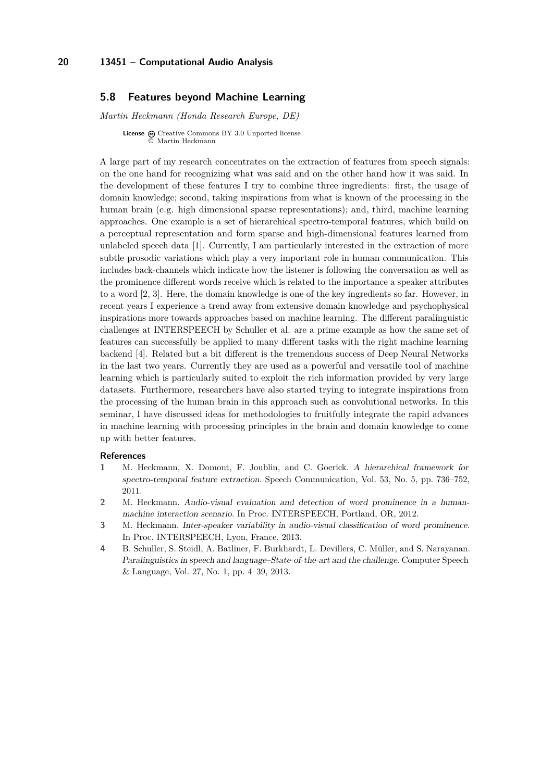### <span id="page-19-0"></span>**5.8 Features beyond Machine Learning**

*Martin Heckmann (Honda Research Europe, DE)*

**License**  $\textcircled{c}$  [Creative Commons BY 3.0 Unported](http://creativecommons.org/licenses/by/3.0/) license © [Martin Heckmann](#page-19-0)

A large part of my research concentrates on the extraction of features from speech signals: on the one hand for recognizing what was said and on the other hand how it was said. In the development of these features I try to combine three ingredients: first, the usage of domain knowledge; second, taking inspirations from what is known of the processing in the human brain (e.g. high dimensional sparse representations); and, third, machine learning approaches. One example is a set of hierarchical spectro-temporal features, which build on a perceptual representation and form sparse and high-dimensional features learned from unlabeled speech data [\[1\]](#page-19-1). Currently, I am particularly interested in the extraction of more subtle prosodic variations which play a very important role in human communication. This includes back-channels which indicate how the listener is following the conversation as well as the prominence different words receive which is related to the importance a speaker attributes to a word [\[2,](#page-19-2) [3\]](#page-19-3). Here, the domain knowledge is one of the key ingredients so far. However, in recent years I experience a trend away from extensive domain knowledge and psychophysical inspirations more towards approaches based on machine learning. The different paralinguistic challenges at INTERSPEECH by Schuller et al. are a prime example as how the same set of features can successfully be applied to many different tasks with the right machine learning backend [\[4\]](#page-19-4). Related but a bit different is the tremendous success of Deep Neural Networks in the last two years. Currently they are used as a powerful and versatile tool of machine learning which is particularly suited to exploit the rich information provided by very large datasets. Furthermore, researchers have also started trying to integrate inspirations from the processing of the human brain in this approach such as convolutional networks. In this seminar, I have discussed ideas for methodologies to fruitfully integrate the rapid advances in machine learning with processing principles in the brain and domain knowledge to come up with better features.

#### **References**

- <span id="page-19-1"></span>**1** M. Heckmann, X. Domont, F. Joublin, and C. Goerick. A hierarchical framework for spectro-temporal feature extraction. Speech Communication, Vol. 53, No. 5, pp. 736–752, 2011.
- <span id="page-19-2"></span>**2** M. Heckmann. Audio-visual evaluation and detection of word prominence in a humanmachine interaction scenario. In Proc. INTERSPEECH, Portland, OR, 2012.
- <span id="page-19-3"></span>**3** M. Heckmann. Inter-speaker variability in audio-visual classification of word prominence. In Proc. INTERSPEECH, Lyon, France, 2013.
- <span id="page-19-4"></span>**4** B. Schuller, S. Steidl, A. Batliner, F. Burkhardt, L. Devillers, C. Müller, and S. Narayanan. Paralinguistics in speech and language–State-of-the-art and the challenge. Computer Speech & Language, Vol. 27, No. 1, pp. 4–39, 2013.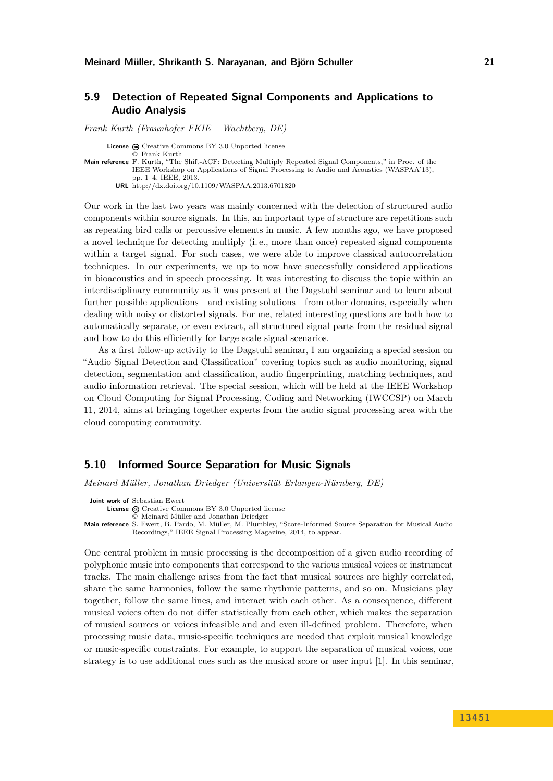## <span id="page-20-0"></span>**5.9 Detection of Repeated Signal Components and Applications to Audio Analysis**

*Frank Kurth (Fraunhofer FKIE – Wachtberg, DE)*

**License**  $\textcircled{c}$  [Creative Commons BY 3.0 Unported](http://creativecommons.org/licenses/by/3.0/) license

© [Frank Kurth](#page-20-0) **Main reference** [F. Kurth, "The Shift-ACF: Detecting Multiply Repeated Signal Components," in Proc. of the](http://dx.doi.org/10.1109/WASPAA.2013.6701820) [IEEE Workshop on Applications of Signal Processing to Audio and Acoustics \(WASPAA'13\),](http://dx.doi.org/10.1109/WASPAA.2013.6701820) [pp. 1–4, IEEE, 2013.](http://dx.doi.org/10.1109/WASPAA.2013.6701820) **URL** <http://dx.doi.org/10.1109/WASPAA.2013.6701820>

Our work in the last two years was mainly concerned with the detection of structured audio components within source signals. In this, an important type of structure are repetitions such as repeating bird calls or percussive elements in music. A few months ago, we have proposed a novel technique for detecting multiply (i. e., more than once) repeated signal components within a target signal. For such cases, we were able to improve classical autocorrelation techniques. In our experiments, we up to now have successfully considered applications in bioacoustics and in speech processing. It was interesting to discuss the topic within an interdisciplinary community as it was present at the Dagstuhl seminar and to learn about further possible applications—and existing solutions—from other domains, especially when dealing with noisy or distorted signals. For me, related interesting questions are both how to automatically separate, or even extract, all structured signal parts from the residual signal and how to do this efficiently for large scale signal scenarios.

As a first follow-up activity to the Dagstuhl seminar, I am organizing a special session on "Audio Signal Detection and Classification" covering topics such as audio monitoring, signal detection, segmentation and classification, audio fingerprinting, matching techniques, and audio information retrieval. The special session, which will be held at the IEEE Workshop on Cloud Computing for Signal Processing, Coding and Networking (IWCCSP) on March 11, 2014, aims at bringing together experts from the audio signal processing area with the cloud computing community.

### <span id="page-20-1"></span>**5.10 Informed Source Separation for Music Signals**

*Meinard Müller, Jonathan Driedger (Universität Erlangen-Nürnberg, DE)*

**Joint work of** Sebastian Ewert

License  $\odot$  [Creative Commons BY 3.0 Unported](http://creativecommons.org/licenses/by/3.0/) license

© [Meinard Müller and Jonathan Driedger](#page-20-1) **Main reference** [S. Ewert, B. Pardo, M. Müller, M. Plumbley, "Score-Informed Source Separation for Musical Audio](S. Ewert, B. Pardo, M. M�ller, M. Plumbley, ``Score-Informed Source Separation for Musical Audio Recordings,) [Recordings," IEEE Signal Processing Magazine, 2014, to appear.](S. Ewert, B. Pardo, M. M�ller, M. Plumbley, ``Score-Informed Source Separation for Musical Audio Recordings,)

One central problem in music processing is the decomposition of a given audio recording of polyphonic music into components that correspond to the various musical voices or instrument tracks. The main challenge arises from the fact that musical sources are highly correlated, share the same harmonies, follow the same rhythmic patterns, and so on. Musicians play together, follow the same lines, and interact with each other. As a consequence, different musical voices often do not differ statistically from each other, which makes the separation of musical sources or voices infeasible and and even ill-defined problem. Therefore, when processing music data, music-specific techniques are needed that exploit musical knowledge or music-specific constraints. For example, to support the separation of musical voices, one strategy is to use additional cues such as the musical score or user input [\[1\]](#page-21-2). In this seminar,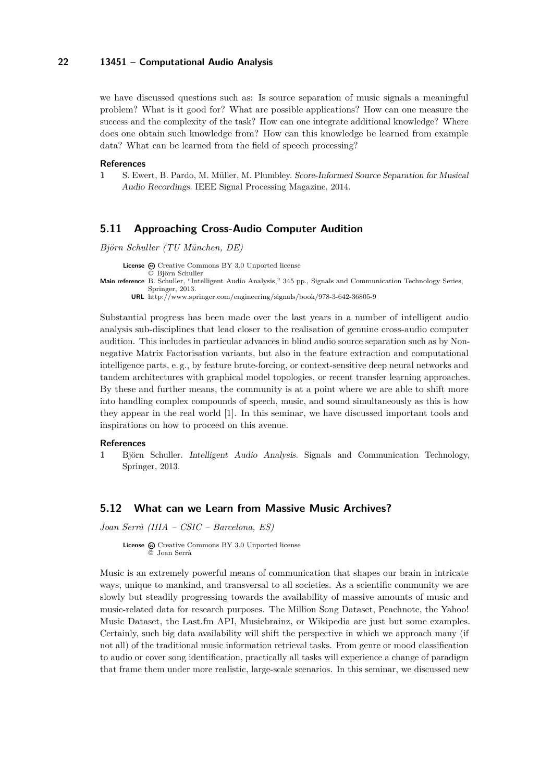we have discussed questions such as: Is source separation of music signals a meaningful problem? What is it good for? What are possible applications? How can one measure the success and the complexity of the task? How can one integrate additional knowledge? Where does one obtain such knowledge from? How can this knowledge be learned from example data? What can be learned from the field of speech processing?

#### **References**

<span id="page-21-2"></span>**1** S. Ewert, B. Pardo, M. Müller, M. Plumbley. Score-Informed Source Separation for Musical Audio Recordings. IEEE Signal Processing Magazine, 2014.

### <span id="page-21-0"></span>**5.11 Approaching Cross-Audio Computer Audition**

*Björn Schuller (TU München, DE)*

License  $\textcircled{c}$  [Creative Commons BY 3.0 Unported](http://creativecommons.org/licenses/by/3.0/) license © [Björn Schuller](#page-21-0) **Main reference** [B. Schuller, "Intelligent Audio Analysis," 345 pp., Signals and Communication Technology Series,](http://www.springer.com/engineering/signals/book/978-3-642-36805-9) [Springer, 2013.](http://www.springer.com/engineering/signals/book/978-3-642-36805-9)

**URL** <http://www.springer.com/engineering/signals/book/978-3-642-36805-9>

Substantial progress has been made over the last years in a number of intelligent audio analysis sub-disciplines that lead closer to the realisation of genuine cross-audio computer audition. This includes in particular advances in blind audio source separation such as by Nonnegative Matrix Factorisation variants, but also in the feature extraction and computational intelligence parts, e. g., by feature brute-forcing, or context-sensitive deep neural networks and tandem architectures with graphical model topologies, or recent transfer learning approaches. By these and further means, the community is at a point where we are able to shift more into handling complex compounds of speech, music, and sound simultaneously as this is how they appear in the real world [\[1\]](#page-21-3). In this seminar, we have discussed important tools and inspirations on how to proceed on this avenue.

#### **References**

<span id="page-21-3"></span>**1** Björn Schuller. Intelligent Audio Analysis. Signals and Communication Technology, Springer, 2013.

#### <span id="page-21-1"></span>**5.12 What can we Learn from Massive Music Archives?**

*Joan Serrà (IIIA – CSIC – Barcelona, ES)*

License  $\textcircled{c}$  [Creative Commons BY 3.0 Unported](http://creativecommons.org/licenses/by/3.0/) license © [Joan Serrà](#page-21-1)

Music is an extremely powerful means of communication that shapes our brain in intricate ways, unique to mankind, and transversal to all societies. As a scientific community we are slowly but steadily progressing towards the availability of massive amounts of music and music-related data for research purposes. The Million Song Dataset, Peachnote, the Yahoo! Music Dataset, the Last.fm API, Musicbrainz, or Wikipedia are just but some examples. Certainly, such big data availability will shift the perspective in which we approach many (if not all) of the traditional music information retrieval tasks. From genre or mood classification to audio or cover song identification, practically all tasks will experience a change of paradigm that frame them under more realistic, large-scale scenarios. In this seminar, we discussed new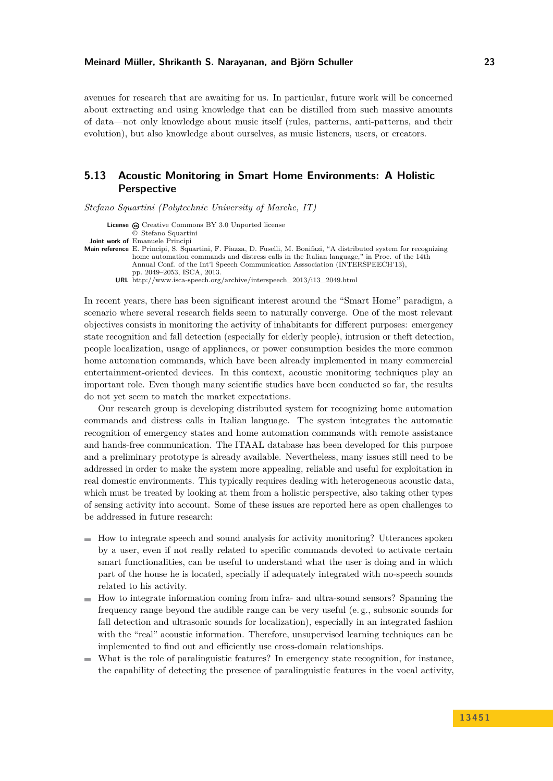avenues for research that are awaiting for us. In particular, future work will be concerned about extracting and using knowledge that can be distilled from such massive amounts of data—not only knowledge about music itself (rules, patterns, anti-patterns, and their evolution), but also knowledge about ourselves, as music listeners, users, or creators.

## <span id="page-22-0"></span>**5.13 Acoustic Monitoring in Smart Home Environments: A Holistic Perspective**

*Stefano Squartini (Polytechnic University of Marche, IT)*

- **License**  $\textcircled{e}$  [Creative Commons BY 3.0 Unported](http://creativecommons.org/licenses/by/3.0/) license
- © [Stefano Squartini](#page-22-0) **Joint work of** Emanuele Principi
- **Main reference** [E. Principi, S. Squartini, F. Piazza, D. Fuselli, M. Bonifazi, "A distributed system for recognizing](http://www.isca-speech.org/archive/interspeech_2013/i13_2049.html) [home automation commands and distress calls in the Italian language," in Proc. of the 14th](http://www.isca-speech.org/archive/interspeech_2013/i13_2049.html) [Annual Conf. of the Int'l Speech Communication Asssociation \(INTERSPEECH'13\),](http://www.isca-speech.org/archive/interspeech_2013/i13_2049.html) [pp. 2049–2053, ISCA, 2013.](http://www.isca-speech.org/archive/interspeech_2013/i13_2049.html)
	- **URL** [http://www.isca-speech.org/archive/interspeech\\_2013/i13\\_2049.html](http://www.isca-speech.org/archive/interspeech_2013/i13_2049.html)

In recent years, there has been significant interest around the "Smart Home" paradigm, a scenario where several research fields seem to naturally converge. One of the most relevant objectives consists in monitoring the activity of inhabitants for different purposes: emergency state recognition and fall detection (especially for elderly people), intrusion or theft detection, people localization, usage of appliances, or power consumption besides the more common home automation commands, which have been already implemented in many commercial entertainment-oriented devices. In this context, acoustic monitoring techniques play an important role. Even though many scientific studies have been conducted so far, the results do not yet seem to match the market expectations.

Our research group is developing distributed system for recognizing home automation commands and distress calls in Italian language. The system integrates the automatic recognition of emergency states and home automation commands with remote assistance and hands-free communication. The ITAAL database has been developed for this purpose and a preliminary prototype is already available. Nevertheless, many issues still need to be addressed in order to make the system more appealing, reliable and useful for exploitation in real domestic environments. This typically requires dealing with heterogeneous acoustic data, which must be treated by looking at them from a holistic perspective, also taking other types of sensing activity into account. Some of these issues are reported here as open challenges to be addressed in future research:

- $\blacksquare$  How to integrate speech and sound analysis for activity monitoring? Utterances spoken by a user, even if not really related to specific commands devoted to activate certain smart functionalities, can be useful to understand what the user is doing and in which part of the house he is located, specially if adequately integrated with no-speech sounds related to his activity.
- $\blacksquare$  How to integrate information coming from infra- and ultra-sound sensors? Spanning the frequency range beyond the audible range can be very useful (e. g., subsonic sounds for fall detection and ultrasonic sounds for localization), especially in an integrated fashion with the "real" acoustic information. Therefore, unsupervised learning techniques can be implemented to find out and efficiently use cross-domain relationships.
- What is the role of paralinguistic features? In emergency state recognition, for instance, the capability of detecting the presence of paralinguistic features in the vocal activity,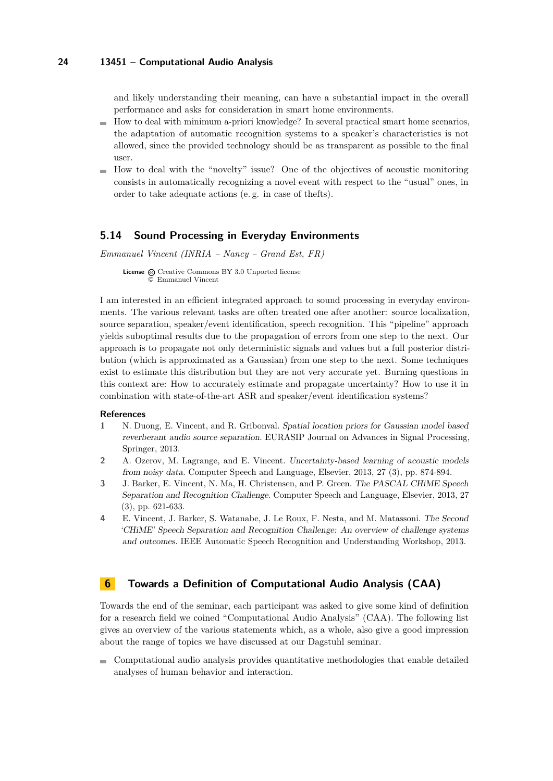and likely understanding their meaning, can have a substantial impact in the overall performance and asks for consideration in smart home environments.

- $\blacksquare$  How to deal with minimum a-priori knowledge? In several practical smart home scenarios, the adaptation of automatic recognition systems to a speaker's characteristics is not allowed, since the provided technology should be as transparent as possible to the final user.
- $\blacksquare$  How to deal with the "novelty" issue? One of the objectives of acoustic monitoring consists in automatically recognizing a novel event with respect to the "usual" ones, in order to take adequate actions (e. g. in case of thefts).

#### <span id="page-23-1"></span>**5.14 Sound Processing in Everyday Environments**

*Emmanuel Vincent (INRIA – Nancy – Grand Est, FR)*

**License**  $\odot$  [Creative Commons BY 3.0 Unported](http://creativecommons.org/licenses/by/3.0/) license © [Emmanuel Vincent](#page-23-1)

I am interested in an efficient integrated approach to sound processing in everyday environments. The various relevant tasks are often treated one after another: source localization, source separation, speaker/event identification, speech recognition. This "pipeline" approach yields suboptimal results due to the propagation of errors from one step to the next. Our approach is to propagate not only deterministic signals and values but a full posterior distribution (which is approximated as a Gaussian) from one step to the next. Some techniques exist to estimate this distribution but they are not very accurate yet. Burning questions in this context are: How to accurately estimate and propagate uncertainty? How to use it in combination with state-of-the-art ASR and speaker/event identification systems?

#### **References**

- **1** N. Duong, E. Vincent, and R. Gribonval. Spatial location priors for Gaussian model based reverberant audio source separation. EURASIP Journal on Advances in Signal Processing, Springer, 2013.
- **2** A. Ozerov, M. Lagrange, and E. Vincent. Uncertainty-based learning of acoustic models from noisy data. Computer Speech and Language, Elsevier, 2013, 27 (3), pp. 874-894.
- **3** J. Barker, E. Vincent, N. Ma, H. Christensen, and P. Green. The PASCAL CHiME Speech Separation and Recognition Challenge. Computer Speech and Language, Elsevier, 2013, 27 (3), pp. 621-633.
- **4** E. Vincent, J. Barker, S. Watanabe, J. Le Roux, F. Nesta, and M. Matassoni. The Second 'CHiME' Speech Separation and Recognition Challenge: An overview of challenge systems and outcomes. IEEE Automatic Speech Recognition and Understanding Workshop, 2013.

### <span id="page-23-0"></span>**6 Towards a Definition of Computational Audio Analysis (CAA)**

Towards the end of the seminar, each participant was asked to give some kind of definition for a research field we coined "Computational Audio Analysis" (CAA). The following list gives an overview of the various statements which, as a whole, also give a good impression about the range of topics we have discussed at our Dagstuhl seminar.

Computational audio analysis provides quantitative methodologies that enable detailed analyses of human behavior and interaction.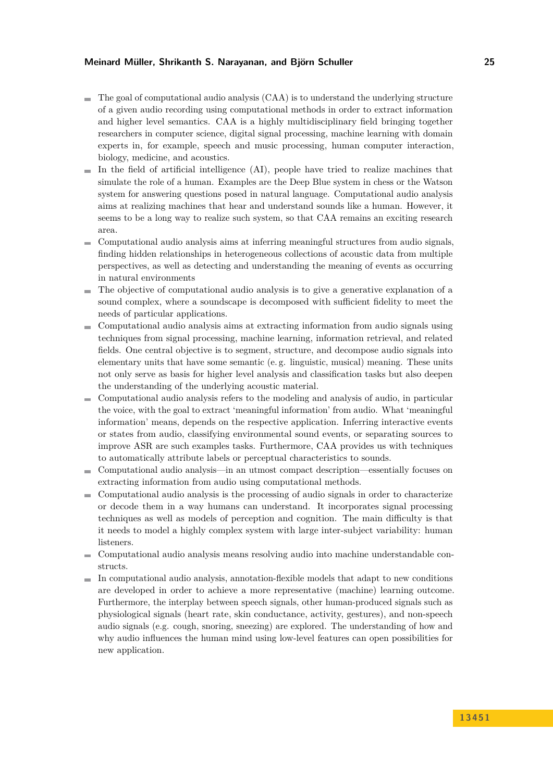#### **Meinard Müller, Shrikanth S. Narayanan, and Björn Schuller 25**

- $\blacksquare$  The goal of computational audio analysis (CAA) is to understand the underlying structure of a given audio recording using computational methods in order to extract information and higher level semantics. CAA is a highly multidisciplinary field bringing together researchers in computer science, digital signal processing, machine learning with domain experts in, for example, speech and music processing, human computer interaction, biology, medicine, and acoustics.
- $\blacksquare$  In the field of artificial intelligence (AI), people have tried to realize machines that simulate the role of a human. Examples are the Deep Blue system in chess or the Watson system for answering questions posed in natural language. Computational audio analysis aims at realizing machines that hear and understand sounds like a human. However, it seems to be a long way to realize such system, so that CAA remains an exciting research area.
- Computational audio analysis aims at inferring meaningful structures from audio signals, e. finding hidden relationships in heterogeneous collections of acoustic data from multiple perspectives, as well as detecting and understanding the meaning of events as occurring in natural environments
- The objective of computational audio analysis is to give a generative explanation of a sound complex, where a soundscape is decomposed with sufficient fidelity to meet the needs of particular applications.
- Computational audio analysis aims at extracting information from audio signals using techniques from signal processing, machine learning, information retrieval, and related fields. One central objective is to segment, structure, and decompose audio signals into elementary units that have some semantic (e. g. linguistic, musical) meaning. These units not only serve as basis for higher level analysis and classification tasks but also deepen the understanding of the underlying acoustic material.
- Computational audio analysis refers to the modeling and analysis of audio, in particular the voice, with the goal to extract 'meaningful information' from audio. What 'meaningful information' means, depends on the respective application. Inferring interactive events or states from audio, classifying environmental sound events, or separating sources to improve ASR are such examples tasks. Furthermore, CAA provides us with techniques to automatically attribute labels or perceptual characteristics to sounds.
- Computational audio analysis—in an utmost compact description—essentially focuses on extracting information from audio using computational methods.
- Computational audio analysis is the processing of audio signals in order to characterize  $\sim$ or decode them in a way humans can understand. It incorporates signal processing techniques as well as models of perception and cognition. The main difficulty is that it needs to model a highly complex system with large inter-subject variability: human listeners.
- Computational audio analysis means resolving audio into machine understandable constructs.
- $\blacksquare$  In computational audio analysis, annotation-flexible models that adapt to new conditions are developed in order to achieve a more representative (machine) learning outcome. Furthermore, the interplay between speech signals, other human-produced signals such as physiological signals (heart rate, skin conductance, activity, gestures), and non-speech audio signals (e.g. cough, snoring, sneezing) are explored. The understanding of how and why audio influences the human mind using low-level features can open possibilities for new application.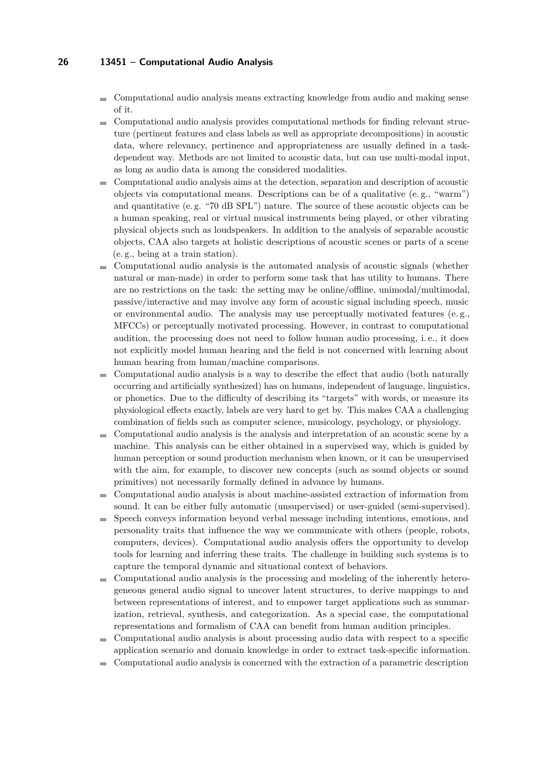- Computational audio analysis means extracting knowledge from audio and making sense of it.
- Computational audio analysis provides computational methods for finding relevant strucm. ture (pertinent features and class labels as well as appropriate decompositions) in acoustic data, where relevancy, pertinence and appropriateness are usually defined in a taskdependent way. Methods are not limited to acoustic data, but can use multi-modal input, as long as audio data is among the considered modalities.
- Computational audio analysis aims at the detection, separation and description of acoustic ÷. objects via computational means. Descriptions can be of a qualitative (e. g., "warm") and quantitative (e. g. "70 dB SPL") nature. The source of these acoustic objects can be a human speaking, real or virtual musical instruments being played, or other vibrating physical objects such as loudspeakers. In addition to the analysis of separable acoustic objects, CAA also targets at holistic descriptions of acoustic scenes or parts of a scene (e. g., being at a train station).
- Computational audio analysis is the automated analysis of acoustic signals (whether natural or man-made) in order to perform some task that has utility to humans. There are no restrictions on the task: the setting may be online/offline, unimodal/multimodal, passive/interactive and may involve any form of acoustic signal including speech, music or environmental audio. The analysis may use perceptually motivated features (e. g., MFCCs) or perceptually motivated processing. However, in contrast to computational audition, the processing does not need to follow human audio processing, i. e., it does not explicitly model human hearing and the field is not concerned with learning about human hearing from human/machine comparisons.
- Computational audio analysis is a way to describe the effect that audio (both naturally occurring and artificially synthesized) has on humans, independent of language, linguistics, or phonetics. Due to the difficulty of describing its "targets" with words, or measure its physiological effects exactly, labels are very hard to get by. This makes CAA a challenging combination of fields such as computer science, musicology, psychology, or physiology.
- Computational audio analysis is the analysis and interpretation of an acoustic scene by a  $\mathcal{L}_{\mathcal{A}}$ machine. This analysis can be either obtained in a supervised way, which is guided by human perception or sound production mechanism when known, or it can be unsupervised with the aim, for example, to discover new concepts (such as sound objects or sound primitives) not necessarily formally defined in advance by humans.
- Computational audio analysis is about machine-assisted extraction of information from  $\overline{a}$ sound. It can be either fully automatic (unsupervised) or user-guided (semi-supervised).
- Speech conveys information beyond verbal message including intentions, emotions, and  $\sim$ personality traits that influence the way we communicate with others (people, robots, computers, devices). Computational audio analysis offers the opportunity to develop tools for learning and inferring these traits. The challenge in building such systems is to capture the temporal dynamic and situational context of behaviors.
- Computational audio analysis is the processing and modeling of the inherently heterom. geneous general audio signal to uncover latent structures, to derive mappings to and between representations of interest, and to empower target applications such as summarization, retrieval, synthesis, and categorization. As a special case, the computational representations and formalism of CAA can benefit from human audition principles.
- Computational audio analysis is about processing audio data with respect to a specific m. application scenario and domain knowledge in order to extract task-specific information.
- Computational audio analysis is concerned with the extraction of a parametric description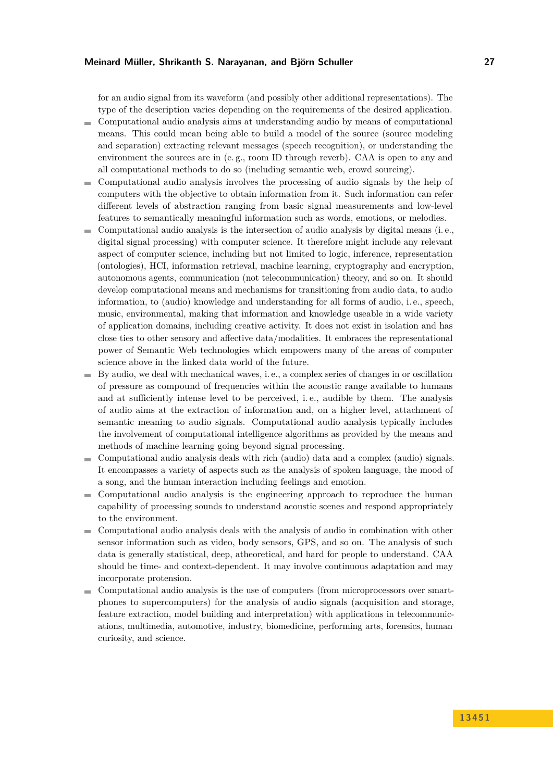#### **Meinard Müller, Shrikanth S. Narayanan, and Björn Schuller 27**

for an audio signal from its waveform (and possibly other additional representations). The type of the description varies depending on the requirements of the desired application.

- Computational audio analysis aims at understanding audio by means of computational  $\sim$ means. This could mean being able to build a model of the source (source modeling and separation) extracting relevant messages (speech recognition), or understanding the environment the sources are in (e. g., room ID through reverb). CAA is open to any and all computational methods to do so (including semantic web, crowd sourcing).
- Computational audio analysis involves the processing of audio signals by the help of ÷. computers with the objective to obtain information from it. Such information can refer different levels of abstraction ranging from basic signal measurements and low-level features to semantically meaningful information such as words, emotions, or melodies.
- Computational audio analysis is the intersection of audio analysis by digital means (i. e., m. digital signal processing) with computer science. It therefore might include any relevant aspect of computer science, including but not limited to logic, inference, representation (ontologies), HCI, information retrieval, machine learning, cryptography and encryption, autonomous agents, communication (not telecommunication) theory, and so on. It should develop computational means and mechanisms for transitioning from audio data, to audio information, to (audio) knowledge and understanding for all forms of audio, i. e., speech, music, environmental, making that information and knowledge useable in a wide variety of application domains, including creative activity. It does not exist in isolation and has close ties to other sensory and affective data/modalities. It embraces the representational power of Semantic Web technologies which empowers many of the areas of computer science above in the linked data world of the future.
- By audio, we deal with mechanical waves, i. e., a complex series of changes in or oscillation m. of pressure as compound of frequencies within the acoustic range available to humans and at sufficiently intense level to be perceived, i. e., audible by them. The analysis of audio aims at the extraction of information and, on a higher level, attachment of semantic meaning to audio signals. Computational audio analysis typically includes the involvement of computational intelligence algorithms as provided by the means and methods of machine learning going beyond signal processing.
- Computational audio analysis deals with rich (audio) data and a complex (audio) signals.  $\sim$ It encompasses a variety of aspects such as the analysis of spoken language, the mood of a song, and the human interaction including feelings and emotion.
- Computational audio analysis is the engineering approach to reproduce the human  $\rightarrow$ capability of processing sounds to understand acoustic scenes and respond appropriately to the environment.
- $\blacksquare$ Computational audio analysis deals with the analysis of audio in combination with other sensor information such as video, body sensors, GPS, and so on. The analysis of such data is generally statistical, deep, atheoretical, and hard for people to understand. CAA should be time- and context-dependent. It may involve continuous adaptation and may incorporate protension.
- Computational audio analysis is the use of computers (from microprocessors over smartphones to supercomputers) for the analysis of audio signals (acquisition and storage, feature extraction, model building and interpretation) with applications in telecommunications, multimedia, automotive, industry, biomedicine, performing arts, forensics, human curiosity, and science.